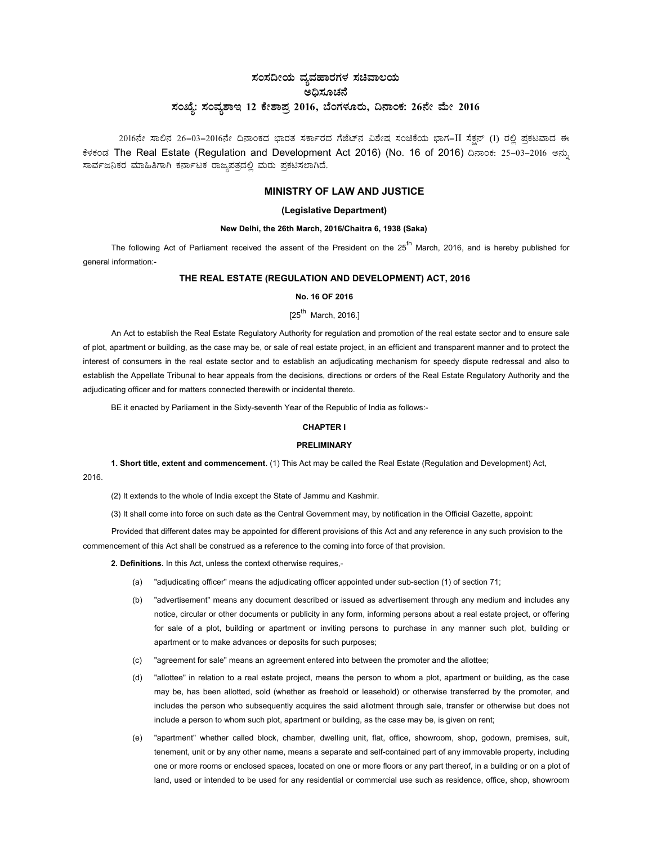# ಸಂಸದೀಯ ವ್ಯವಹಾರಗಳ ಸಚಿವಾಲಯ ಅಧಿಸೂಚನೆ ಸಂಖ್ಯೆ: ಸಂವ್ಯಶಾಇ 12 ಕೇಶಾಪ್ರ 2016, ಬೆಂಗಳೂರು, ದಿನಾಂಕ: 26ನೇ ಮೇ 2016

2016ನೇ ಸಾಲಿನ 26-03-2016ನೇ ದಿನಾಂಕದ ಭಾರತ ಸರ್ಕಾರದ ಗೆಜೆಟ್ನ ವಿಶೇಷ ಸಂಚಿಕೆಯ ಭಾಗ-II ಸೆಕ್ಷನ್ (1) ರಲ್ಲಿ ಪ್ರಕಟವಾದ ಈ ಕೆಳಕಂಡ The Real Estate (Regulation and Development Act 2016) (No. 16 of 2016) ದಿನಾಂಕ: 25-03-2016 ಅನ್ಸು ಸಾರ್ವಜನಿಕರ ಮಾಹಿತಿಗಾಗಿ ಕರ್ನಾಟಕ ರಾಜ್ಯಪತ್ರದಲ್ಲಿ ಮರು ಪ್ರಕಟಿಸಲಾಗಿದೆ*.* 

## **MINISTRY OF LAW AND JUSTICE**

## **(Legislative Department)**

## **New Delhi, the 26th March, 2016/Chaitra 6, 1938 (Saka)**

The following Act of Parliament received the assent of the President on the 25<sup>th</sup> March, 2016, and is hereby published for general information:-

## **THE REAL ESTATE (REGULATION AND DEVELOPMENT) ACT, 2016**

## **No. 16 OF 2016**

## $[25^{\text{th}}]$  March, 2016.

An Act to establish the Real Estate Regulatory Authority for regulation and promotion of the real estate sector and to ensure sale of plot, apartment or building, as the case may be, or sale of real estate project, in an efficient and transparent manner and to protect the interest of consumers in the real estate sector and to establish an adjudicating mechanism for speedy dispute redressal and also to establish the Appellate Tribunal to hear appeals from the decisions, directions or orders of the Real Estate Regulatory Authority and the adjudicating officer and for matters connected therewith or incidental thereto.

BE it enacted by Parliament in the Sixty-seventh Year of the Republic of India as follows:-

#### **CHAPTER I**

## **PRELIMINARY**

**1. Short title, extent and commencement.** (1) This Act may be called the Real Estate (Regulation and Development) Act, 2016.

(2) It extends to the whole of India except the State of Jammu and Kashmir.

(3) It shall come into force on such date as the Central Government may, by notification in the Official Gazette, appoint:

Provided that different dates may be appointed for different provisions of this Act and any reference in any such provision to the commencement of this Act shall be construed as a reference to the coming into force of that provision.

**2. Definitions.** In this Act, unless the context otherwise requires,-

- (a) "adjudicating officer" means the adjudicating officer appointed under sub-section (1) of section 71;
- (b) "advertisement" means any document described or issued as advertisement through any medium and includes any notice, circular or other documents or publicity in any form, informing persons about a real estate project, or offering for sale of a plot, building or apartment or inviting persons to purchase in any manner such plot, building or apartment or to make advances or deposits for such purposes;
- (c) "agreement for sale" means an agreement entered into between the promoter and the allottee;
- (d) "allottee" in relation to a real estate project, means the person to whom a plot, apartment or building, as the case may be, has been allotted, sold (whether as freehold or leasehold) or otherwise transferred by the promoter, and includes the person who subsequently acquires the said allotment through sale, transfer or otherwise but does not include a person to whom such plot, apartment or building, as the case may be, is given on rent;
- (e) "apartment" whether called block, chamber, dwelling unit, flat, office, showroom, shop, godown, premises, suit, tenement, unit or by any other name, means a separate and self-contained part of any immovable property, including one or more rooms or enclosed spaces, located on one or more floors or any part thereof, in a building or on a plot of land, used or intended to be used for any residential or commercial use such as residence, office, shop, showroom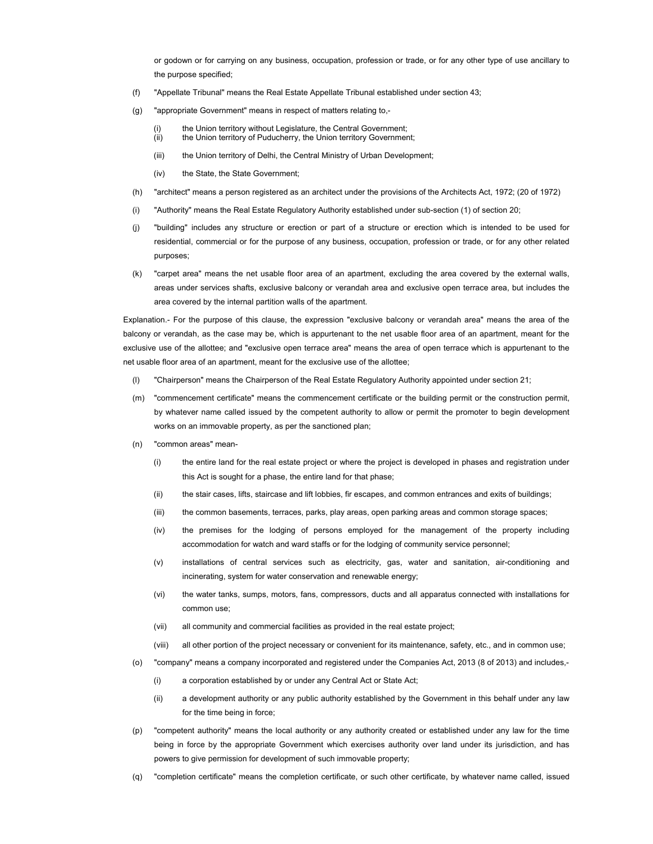or godown or for carrying on any business, occupation, profession or trade, or for any other type of use ancillary to the purpose specified;

- (f) "Appellate Tribunal" means the Real Estate Appellate Tribunal established under section 43;
- (g) "appropriate Government" means in respect of matters relating to,-
	- (i) the Union territory without Legislature, the Central Government; (ii) the Union territory of Puducherry, the Union territory Government;
	- (iii) the Union territory of Delhi, the Central Ministry of Urban Development;
	- (iv) the State, the State Government;
- (h) "architect" means a person registered as an architect under the provisions of the Architects Act, 1972; (20 of 1972)
- (i) "Authority" means the Real Estate Regulatory Authority established under sub-section (1) of section 20;
- (j) "building" includes any structure or erection or part of a structure or erection which is intended to be used for residential, commercial or for the purpose of any business, occupation, profession or trade, or for any other related purposes;
- (k) "carpet area" means the net usable floor area of an apartment, excluding the area covered by the external walls, areas under services shafts, exclusive balcony or verandah area and exclusive open terrace area, but includes the area covered by the internal partition walls of the apartment.

Explanation.- For the purpose of this clause, the expression "exclusive balcony or verandah area" means the area of the balcony or verandah, as the case may be, which is appurtenant to the net usable floor area of an apartment, meant for the exclusive use of the allottee; and "exclusive open terrace area" means the area of open terrace which is appurtenant to the net usable floor area of an apartment, meant for the exclusive use of the allottee;

- (l) "Chairperson" means the Chairperson of the Real Estate Regulatory Authority appointed under section 21;
- (m) "commencement certificate" means the commencement certificate or the building permit or the construction permit, by whatever name called issued by the competent authority to allow or permit the promoter to begin development works on an immovable property, as per the sanctioned plan;
- (n) "common areas" mean-
	- (i) the entire land for the real estate project or where the project is developed in phases and registration under this Act is sought for a phase, the entire land for that phase;
	- (ii) the stair cases, lifts, staircase and lift lobbies, fir escapes, and common entrances and exits of buildings;
	- (iii) the common basements, terraces, parks, play areas, open parking areas and common storage spaces;
	- (iv) the premises for the lodging of persons employed for the management of the property including accommodation for watch and ward staffs or for the lodging of community service personnel;
	- (v) installations of central services such as electricity, gas, water and sanitation, air-conditioning and incinerating, system for water conservation and renewable energy;
	- (vi) the water tanks, sumps, motors, fans, compressors, ducts and all apparatus connected with installations for common use;
	- (vii) all community and commercial facilities as provided in the real estate project;
	- (viii) all other portion of the project necessary or convenient for its maintenance, safety, etc., and in common use;
- (o) "company" means a company incorporated and registered under the Companies Act, 2013 (8 of 2013) and includes,-
	- (i) a corporation established by or under any Central Act or State Act;
	- (ii) a development authority or any public authority established by the Government in this behalf under any law for the time being in force;
- (p) "competent authority" means the local authority or any authority created or established under any law for the time being in force by the appropriate Government which exercises authority over land under its jurisdiction, and has powers to give permission for development of such immovable property;
- (q) "completion certificate" means the completion certificate, or such other certificate, by whatever name called, issued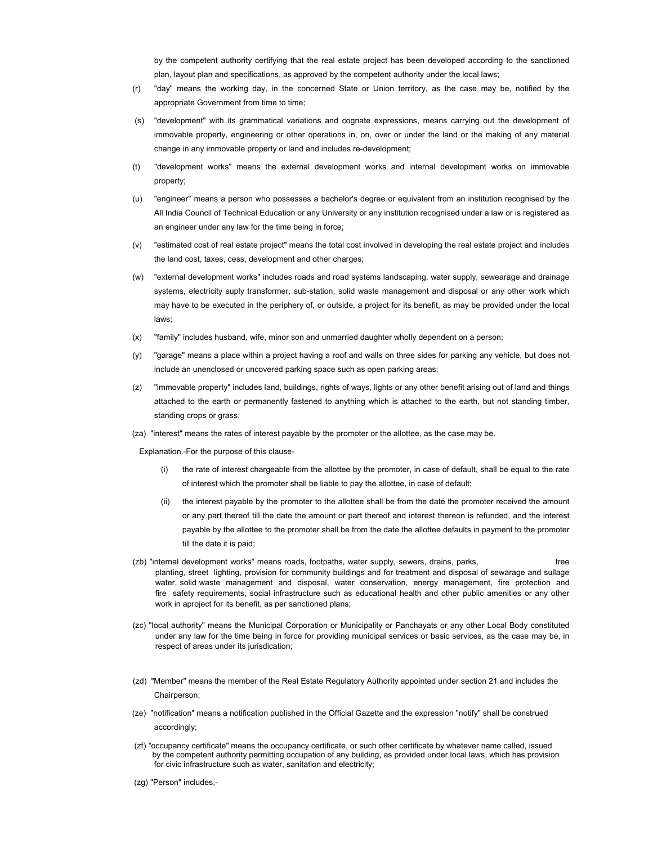by the competent authority certifying that the real estate project has been developed according to the sanctioned plan, layout plan and specifications, as approved by the competent authority under the local laws;

- (r) "day" means the working day, in the concerned State or Union territory, as the case may be, notified by the appropriate Government from time to time;
- (s) "development" with its grammatical variations and cognate expressions, means carrying out the development of immovable property, engineering or other operations in, on, over or under the land or the making of any material change in any immovable property or land and includes re-development;
- (t) "development works" means the external development works and internal development works on immovable property;
- (u) "engineer" means a person who possesses a bachelor's degree or equivalent from an institution recognised by the All India Council of Technical Education or any University or any institution recognised under a law or is registered as an engineer under any law for the time being in force;
- (v) "estimated cost of real estate project" means the total cost involved in developing the real estate project and includes the land cost, taxes, cess, development and other charges;
- (w) "external development works" includes roads and road systems landscaping, water supply, sewearage and drainage systems, electricity suply transformer, sub-station, solid waste management and disposal or any other work which may have to be executed in the periphery of, or outside, a project for its benefit, as may be provided under the local laws;
- (x) "family" includes husband, wife, minor son and unmarried daughter wholly dependent on a person;
- (y) "garage" means a place within a project having a roof and walls on three sides for parking any vehicle, but does not include an unenclosed or uncovered parking space such as open parking areas;
- (z) "immovable property" includes land, buildings, rights of ways, lights or any other benefit arising out of land and things attached to the earth or permanently fastened to anything which is attached to the earth, but not standing timber, standing crops or grass;
- (za) "interest" means the rates of interest payable by the promoter or the allottee, as the case may be.

Explanation.-For the purpose of this clause-

- (i) the rate of interest chargeable from the allottee by the promoter, in case of default, shall be equal to the rate of interest which the promoter shall be liable to pay the allottee, in case of default;
- (ii) the interest payable by the promoter to the allottee shall be from the date the promoter received the amount or any part thereof till the date the amount or part thereof and interest thereon is refunded, and the interest payable by the allottee to the promoter shall be from the date the allottee defaults in payment to the promoter till the date it is paid;
- (zb) "internal development works" means roads, footpaths, water supply, sewers, drains, parks, tree planting, street lighting, provision for community buildings and for treatment and disposal of sewarage and sullage water, solid waste management and disposal, water conservation, energy management, fire protection and fire safety requirements, social infrastructure such as educational health and other public amenities or any other work in aproject for its benefit, as per sanctioned plans;
- (zc) "local authority" means the Municipal Corporation or Municipality or Panchayats or any other Local Body constituted under any law for the time being in force for providing municipal services or basic services, as the case may be, in respect of areas under its jurisdication;
- (zd) "Member" means the member of the Real Estate Regulatory Authority appointed under section 21 and includes the Chairperson;
- (ze) "notification" means a notification published in the Official Gazette and the expression "notify" shall be construed accordingly;
- (zf) "occupancy certificate" means the occupancy certificate, or such other certificate by whatever name called, issued by the competent authority permitting occupation of any building, as provided under local laws, which has provision for civic infrastructure such as water, sanitation and electricity;
- (zg) "Person" includes,-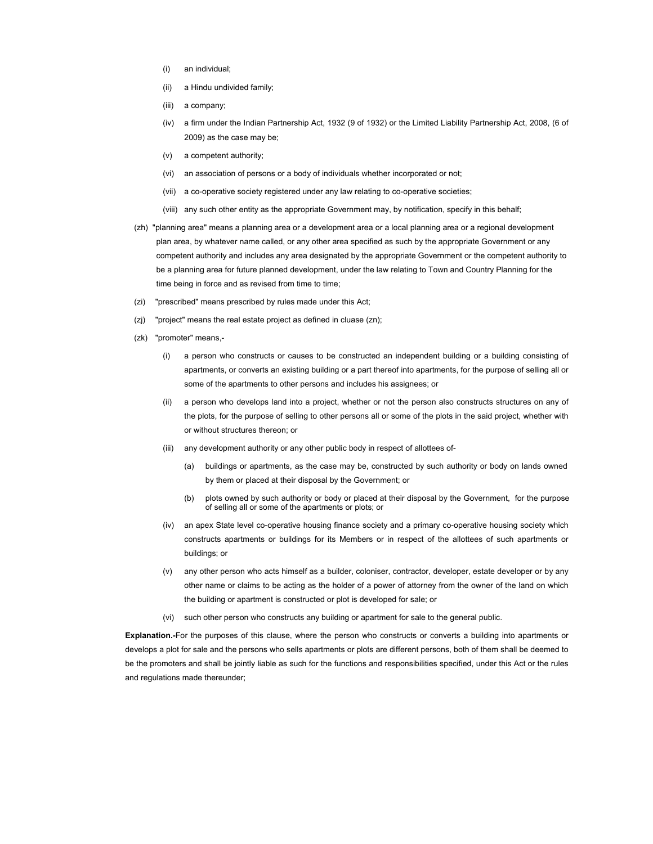- (i) an individual;
- (ii) a Hindu undivided family;
- (iii) a company;
- (iv) a firm under the Indian Partnership Act, 1932 (9 of 1932) or the Limited Liability Partnership Act, 2008, (6 of 2009) as the case may be;
- (v) a competent authority;
- (vi) an association of persons or a body of individuals whether incorporated or not;
- (vii) a co-operative society registered under any law relating to co-operative societies;
- (viii) any such other entity as the appropriate Government may, by notification, specify in this behalf;
- (zh) "planning area" means a planning area or a development area or a local planning area or a regional development plan area, by whatever name called, or any other area specified as such by the appropriate Government or any competent authority and includes any area designated by the appropriate Government or the competent authority to be a planning area for future planned development, under the law relating to Town and Country Planning for the time being in force and as revised from time to time;
- (zi) "prescribed" means prescribed by rules made under this Act;
- (zj) "project" means the real estate project as defined in cluase (zn);
- (zk) "promoter" means,-
	- (i) a person who constructs or causes to be constructed an independent building or a building consisting of apartments, or converts an existing building or a part thereof into apartments, for the purpose of selling all or some of the apartments to other persons and includes his assignees; or
	- (ii) a person who develops land into a project, whether or not the person also constructs structures on any of the plots, for the purpose of selling to other persons all or some of the plots in the said project, whether with or without structures thereon; or
	- (iii) any development authority or any other public body in respect of allottees of-
		- (a) buildings or apartments, as the case may be, constructed by such authority or body on lands owned by them or placed at their disposal by the Government; or
		- (b) plots owned by such authority or body or placed at their disposal by the Government, for the purpose of selling all or some of the apartments or plots; or
	- (iv) an apex State level co-operative housing finance society and a primary co-operative housing society which constructs apartments or buildings for its Members or in respect of the allottees of such apartments or buildings; or
	- (v) any other person who acts himself as a builder, coloniser, contractor, developer, estate developer or by any other name or claims to be acting as the holder of a power of attorney from the owner of the land on which the building or apartment is constructed or plot is developed for sale; or
	- (vi) such other person who constructs any building or apartment for sale to the general public.

**Explanation.-**For the purposes of this clause, where the person who constructs or converts a building into apartments or develops a plot for sale and the persons who sells apartments or plots are different persons, both of them shall be deemed to be the promoters and shall be jointly liable as such for the functions and responsibilities specified, under this Act or the rules and regulations made thereunder;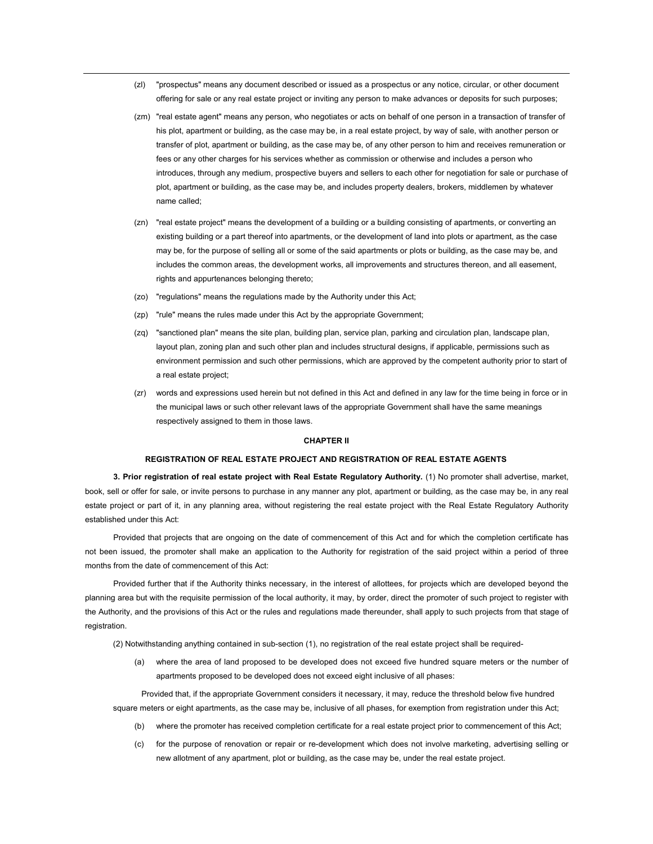- (zl) "prospectus" means any document described or issued as a prospectus or any notice, circular, or other document offering for sale or any real estate project or inviting any person to make advances or deposits for such purposes;
- (zm) "real estate agent" means any person, who negotiates or acts on behalf of one person in a transaction of transfer of his plot, apartment or building, as the case may be, in a real estate project, by way of sale, with another person or transfer of plot, apartment or building, as the case may be, of any other person to him and receives remuneration or fees or any other charges for his services whether as commission or otherwise and includes a person who introduces, through any medium, prospective buyers and sellers to each other for negotiation for sale or purchase of plot, apartment or building, as the case may be, and includes property dealers, brokers, middlemen by whatever name called;
- (zn) "real estate project" means the development of a building or a building consisting of apartments, or converting an existing building or a part thereof into apartments, or the development of land into plots or apartment, as the case may be, for the purpose of selling all or some of the said apartments or plots or building, as the case may be, and includes the common areas, the development works, all improvements and structures thereon, and all easement, rights and appurtenances belonging thereto;
- (zo) "regulations" means the regulations made by the Authority under this Act;
- (zp) "rule" means the rules made under this Act by the appropriate Government;
- (zq) "sanctioned plan" means the site plan, building plan, service plan, parking and circulation plan, landscape plan, layout plan, zoning plan and such other plan and includes structural designs, if applicable, permissions such as environment permission and such other permissions, which are approved by the competent authority prior to start of a real estate project;
- (zr) words and expressions used herein but not defined in this Act and defined in any law for the time being in force or in the municipal laws or such other relevant laws of the appropriate Government shall have the same meanings respectively assigned to them in those laws.

#### **CHAPTER II**

## **REGISTRATION OF REAL ESTATE PROJECT AND REGISTRATION OF REAL ESTATE AGENTS**

**3. Prior registration of real estate project with Real Estate Regulatory Authority.** (1) No promoter shall advertise, market, book, sell or offer for sale, or invite persons to purchase in any manner any plot, apartment or building, as the case may be, in any real estate project or part of it, in any planning area, without registering the real estate project with the Real Estate Regulatory Authority established under this Act:

Provided that projects that are ongoing on the date of commencement of this Act and for which the completion certificate has not been issued, the promoter shall make an application to the Authority for registration of the said project within a period of three months from the date of commencement of this Act:

Provided further that if the Authority thinks necessary, in the interest of allottees, for projects which are developed beyond the planning area but with the requisite permission of the local authority, it may, by order, direct the promoter of such project to register with the Authority, and the provisions of this Act or the rules and regulations made thereunder, shall apply to such projects from that stage of registration.

(2) Notwithstanding anything contained in sub-section (1), no registration of the real estate project shall be required-

(a) where the area of land proposed to be developed does not exceed five hundred square meters or the number of apartments proposed to be developed does not exceed eight inclusive of all phases:

Provided that, if the appropriate Government considers it necessary, it may, reduce the threshold below five hundred square meters or eight apartments, as the case may be, inclusive of all phases, for exemption from registration under this Act;

- (b) where the promoter has received completion certificate for a real estate project prior to commencement of this Act;
- (c) for the purpose of renovation or repair or re-development which does not involve marketing, advertising selling or new allotment of any apartment, plot or building, as the case may be, under the real estate project.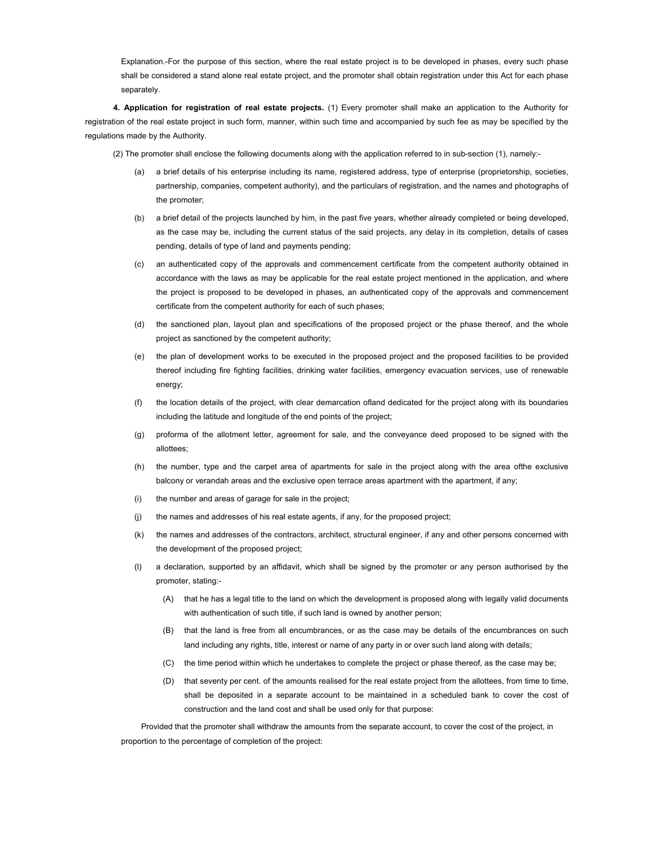Explanation.-For the purpose of this section, where the real estate project is to be developed in phases, every such phase shall be considered a stand alone real estate project, and the promoter shall obtain registration under this Act for each phase separately.

**4. Application for registration of real estate projects.** (1) Every promoter shall make an application to the Authority for registration of the real estate project in such form, manner, within such time and accompanied by such fee as may be specified by the regulations made by the Authority.

(2) The promoter shall enclose the following documents along with the application referred to in sub-section (1), namely:-

- (a) a brief details of his enterprise including its name, registered address, type of enterprise (proprietorship, societies, partnership, companies, competent authority), and the particulars of registration, and the names and photographs of the promoter;
- (b) a brief detail of the projects launched by him, in the past five years, whether already completed or being developed, as the case may be, including the current status of the said projects, any delay in its completion, details of cases pending, details of type of land and payments pending;
- (c) an authenticated copy of the approvals and commencement certificate from the competent authority obtained in accordance with the laws as may be applicable for the real estate project mentioned in the application, and where the project is proposed to be developed in phases, an authenticated copy of the approvals and commencement certificate from the competent authority for each of such phases;
- (d) the sanctioned plan, layout plan and specifications of the proposed project or the phase thereof, and the whole project as sanctioned by the competent authority;
- (e) the plan of development works to be executed in the proposed project and the proposed facilities to be provided thereof including fire fighting facilities, drinking water facilities, emergency evacuation services, use of renewable energy;
- (f) the location details of the project, with clear demarcation ofland dedicated for the project along with its boundaries including the latitude and longitude of the end points of the project;
- (g) proforma of the allotment letter, agreement for sale, and the conveyance deed proposed to be signed with the allottees;
- (h) the number, type and the carpet area of apartments for sale in the project along with the area ofthe exclusive balcony or verandah areas and the exclusive open terrace areas apartment with the apartment, if any;
- (i) the number and areas of garage for sale in the project;
- (j) the names and addresses of his real estate agents, if any, for the proposed project;
- (k) the names and addresses of the contractors, architect, structural engineer, if any and other persons concerned with the development of the proposed project;
- (l) a declaration, supported by an affidavit, which shall be signed by the promoter or any person authorised by the promoter, stating:-
	- (A) that he has a legal title to the land on which the development is proposed along with legally valid documents with authentication of such title, if such land is owned by another person;
	- (B) that the land is free from all encumbrances, or as the case may be details of the encumbrances on such land including any rights, title, interest or name of any party in or over such land along with details;
	- (C) the time period within which he undertakes to complete the project or phase thereof, as the case may be;
	- (D) that seventy per cent. of the amounts realised for the real estate project from the allottees, from time to time, shall be deposited in a separate account to be maintained in a scheduled bank to cover the cost of construction and the land cost and shall be used only for that purpose:

Provided that the promoter shall withdraw the amounts from the separate account, to cover the cost of the project, in proportion to the percentage of completion of the project: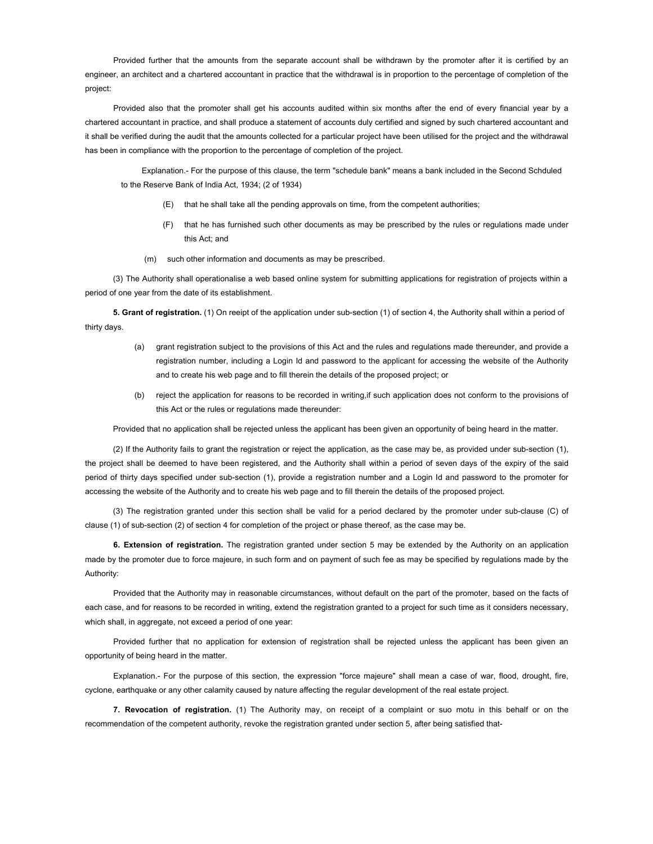Provided further that the amounts from the separate account shall be withdrawn by the promoter after it is certified by an engineer, an architect and a chartered accountant in practice that the withdrawal is in proportion to the percentage of completion of the project:

Provided also that the promoter shall get his accounts audited within six months after the end of every financial year by a chartered accountant in practice, and shall produce a statement of accounts duly certified and signed by such chartered accountant and it shall be verified during the audit that the amounts collected for a particular project have been utilised for the project and the withdrawal has been in compliance with the proportion to the percentage of completion of the project.

Explanation.- For the purpose of this clause, the term "schedule bank" means a bank included in the Second Schduled to the Reserve Bank of India Act, 1934; (2 of 1934)

- (E) that he shall take all the pending approvals on time, from the competent authorities;
- (F) that he has furnished such other documents as may be prescribed by the rules or regulations made under this Act; and
- (m) such other information and documents as may be prescribed.

(3) The Authority shall operationalise a web based online system for submitting applications for registration of projects within a period of one year from the date of its establishment.

**5. Grant of registration.** (1) On reeipt of the application under sub-section (1) of section 4, the Authority shall within a period of thirty days.

- (a) grant registration subject to the provisions of this Act and the rules and regulations made thereunder, and provide a registration number, including a Login Id and password to the applicant for accessing the website of the Authority and to create his web page and to fill therein the details of the proposed project; or
- (b) reject the application for reasons to be recorded in writing,if such application does not conform to the provisions of this Act or the rules or regulations made thereunder:

Provided that no application shall be rejected unless the applicant has been given an opportunity of being heard in the matter.

(2) If the Authority fails to grant the registration or reject the application, as the case may be, as provided under sub-section (1), the project shall be deemed to have been registered, and the Authority shall within a period of seven days of the expiry of the said period of thirty days specified under sub-section (1), provide a registration number and a Login Id and password to the promoter for accessing the website of the Authority and to create his web page and to fill therein the details of the proposed project.

(3) The registration granted under this section shall be valid for a period declared by the promoter under sub-clause (C) of clause (1) of sub-section (2) of section 4 for completion of the project or phase thereof, as the case may be.

**6. Extension of registration.** The registration granted under section 5 may be extended by the Authority on an application made by the promoter due to force majeure, in such form and on payment of such fee as may be specified by regulations made by the Authority:

Provided that the Authority may in reasonable circumstances, without default on the part of the promoter, based on the facts of each case, and for reasons to be recorded in writing, extend the registration granted to a project for such time as it considers necessary, which shall, in aggregate, not exceed a period of one year:

Provided further that no application for extension of registration shall be rejected unless the applicant has been given an opportunity of being heard in the matter.

Explanation.- For the purpose of this section, the expression "force majeure" shall mean a case of war, flood, drought, fire, cyclone, earthquake or any other calamity caused by nature affecting the regular development of the real estate project.

**7. Revocation of registration.** (1) The Authority may, on receipt of a complaint or suo motu in this behalf or on the recommendation of the competent authority, revoke the registration granted under section 5, after being satisfied that-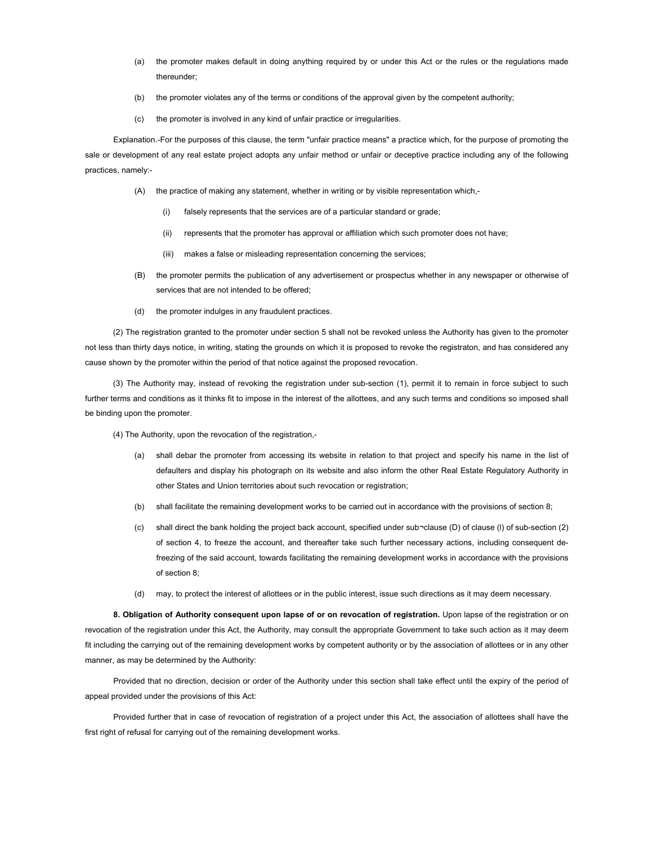- (a) the promoter makes default in doing anything required by or under this Act or the rules or the regulations made thereunder;
- (b) the promoter violates any of the terms or conditions of the approval given by the competent authority;
- (c) the promoter is involved in any kind of unfair practice or irregularities.

Explanation.-For the purposes of this clause, the term "unfair practice means" a practice which, for the purpose of promoting the sale or development of any real estate project adopts any unfair method or unfair or deceptive practice including any of the following practices, namely:-

- (A) the practice of making any statement, whether in writing or by visible representation which,-
	- (i) falsely represents that the services are of a particular standard or grade;
	- (ii) represents that the promoter has approval or affiliation which such promoter does not have;
	- (iii) makes a false or misleading representation concerning the services;
- (B) the promoter permits the publication of any advertisement or prospectus whether in any newspaper or otherwise of services that are not intended to be offered;
- (d) the promoter indulges in any fraudulent practices.

(2) The registration granted to the promoter under section 5 shall not be revoked unless the Authority has given to the promoter not less than thirty days notice, in writing, stating the grounds on which it is proposed to revoke the registraton, and has considered any cause shown by the promoter within the period of that notice against the proposed revocation.

(3) The Authority may, instead of revoking the registration under sub-section (1), permit it to remain in force subject to such further terms and conditions as it thinks fit to impose in the interest of the allottees, and any such terms and conditions so imposed shall be binding upon the promoter.

(4) The Authority, upon the revocation of the registration,-

- (a) shall debar the promoter from accessing its website in relation to that project and specify his name in the list of defaulters and display his photograph on its website and also inform the other Real Estate Regulatory Authority in other States and Union territories about such revocation or registration;
- (b) shall facilitate the remaining development works to be carried out in accordance with the provisions of section 8;
- (c) shall direct the bank holding the project back account, specified under sub¬clause (D) of clause (l) of sub-section (2) of section 4, to freeze the account, and thereafter take such further necessary actions, including consequent defreezing of the said account, towards facilitating the remaining development works in accordance with the provisions of section 8;
- (d) may, to protect the interest of allottees or in the public interest, issue such directions as it may deem necessary.

**8. Obligation of Authority consequent upon lapse of or on revocation of registration.** Upon lapse of the registration or on revocation of the registration under this Act, the Authority, may consult the appropriate Government to take such action as it may deem fit including the carrying out of the remaining development works by competent authority or by the association of allottees or in any other manner, as may be determined by the Authority:

Provided that no direction, decision or order of the Authority under this section shall take effect until the expiry of the period of appeal provided under the provisions of this Act:

Provided further that in case of revocation of registration of a project under this Act, the association of allottees shall have the first right of refusal for carrying out of the remaining development works.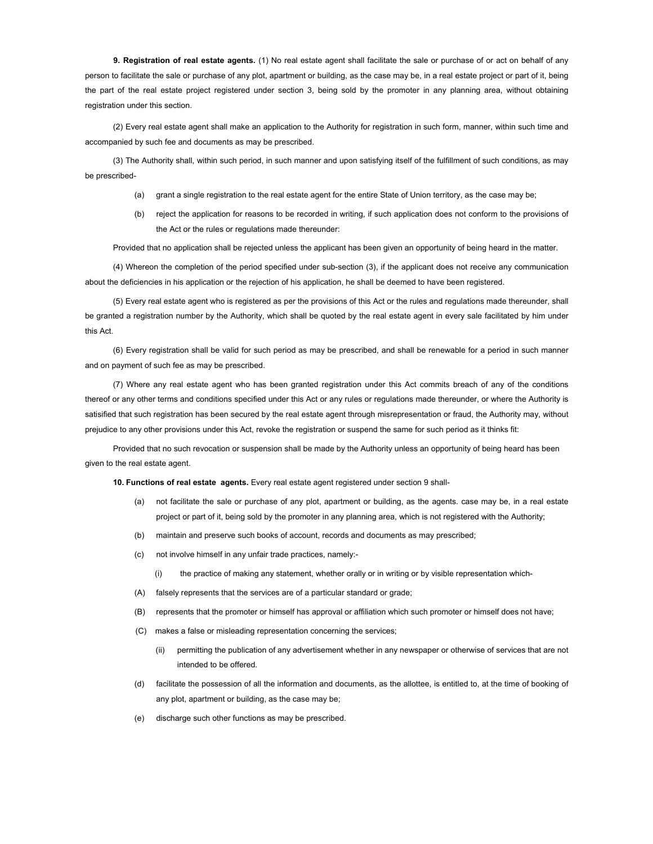**9. Registration of real estate agents.** (1) No real estate agent shall facilitate the sale or purchase of or act on behalf of any person to facilitate the sale or purchase of any plot, apartment or building, as the case may be, in a real estate project or part of it, being the part of the real estate project registered under section 3, being sold by the promoter in any planning area, without obtaining registration under this section.

(2) Every real estate agent shall make an application to the Authority for registration in such form, manner, within such time and accompanied by such fee and documents as may be prescribed.

(3) The Authority shall, within such period, in such manner and upon satisfying itself of the fulfillment of such conditions, as may be prescribed-

- (a) grant a single registration to the real estate agent for the entire State of Union territory, as the case may be;
- (b) reject the application for reasons to be recorded in writing, if such application does not conform to the provisions of the Act or the rules or regulations made thereunder:

Provided that no application shall be rejected unless the applicant has been given an opportunity of being heard in the matter.

(4) Whereon the completion of the period specified under sub-section (3), if the applicant does not receive any communication about the deficiencies in his application or the rejection of his application, he shall be deemed to have been registered.

(5) Every real estate agent who is registered as per the provisions of this Act or the rules and regulations made thereunder, shall be granted a registration number by the Authority, which shall be quoted by the real estate agent in every sale facilitated by him under this Act.

(6) Every registration shall be valid for such period as may be prescribed, and shall be renewable for a period in such manner and on payment of such fee as may be prescribed.

(7) Where any real estate agent who has been granted registration under this Act commits breach of any of the conditions thereof or any other terms and conditions specified under this Act or any rules or regulations made thereunder, or where the Authority is satisified that such registration has been secured by the real estate agent through misrepresentation or fraud, the Authority may, without prejudice to any other provisions under this Act, revoke the registration or suspend the same for such period as it thinks fit:

Provided that no such revocation or suspension shall be made by the Authority unless an opportunity of being heard has been given to the real estate agent.

**10. Functions of real estate agents.** Every real estate agent registered under section 9 shall-

- (a) not facilitate the sale or purchase of any plot, apartment or building, as the agents. case may be, in a real estate project or part of it, being sold by the promoter in any planning area, which is not registered with the Authority;
- (b) maintain and preserve such books of account, records and documents as may prescribed;
- (c) not involve himself in any unfair trade practices, namely:-
	- (i) the practice of making any statement, whether orally or in writing or by visible representation which-
- (A) falsely represents that the services are of a particular standard or grade;
- (B) represents that the promoter or himself has approval or affiliation which such promoter or himself does not have;
- (C) makes a false or misleading representation concerning the services;
	- (ii) permitting the publication of any advertisement whether in any newspaper or otherwise of services that are not intended to be offered.
- (d) facilitate the possession of all the information and documents, as the allottee, is entitled to, at the time of booking of any plot, apartment or building, as the case may be;
- (e) discharge such other functions as may be prescribed.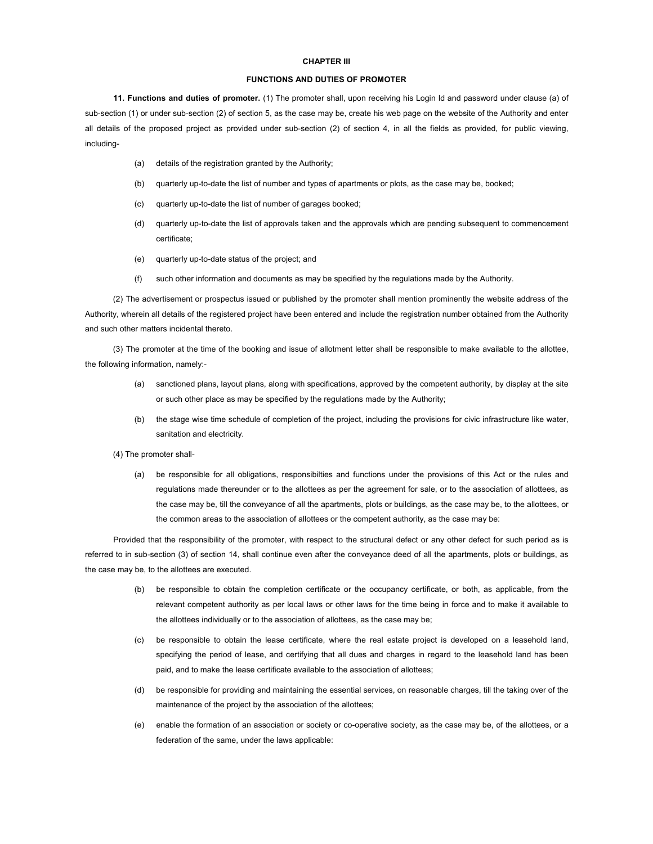## **CHAPTER III**

### **FUNCTIONS AND DUTIES OF PROMOTER**

**11. Functions and duties of promoter.** (1) The promoter shall, upon receiving his Login Id and password under clause (a) of sub-section (1) or under sub-section (2) of section 5, as the case may be, create his web page on the website of the Authority and enter all details of the proposed project as provided under sub-section (2) of section 4, in all the fields as provided, for public viewing, including-

- (a) details of the registration granted by the Authority;
- (b) quarterly up-to-date the list of number and types of apartments or plots, as the case may be, booked;
- (c) quarterly up-to-date the list of number of garages booked;
- (d) quarterly up-to-date the list of approvals taken and the approvals which are pending subsequent to commencement certificate;
- (e) quarterly up-to-date status of the project; and
- (f) such other information and documents as may be specified by the regulations made by the Authority.

(2) The advertisement or prospectus issued or published by the promoter shall mention prominently the website address of the Authority, wherein all details of the registered project have been entered and include the registration number obtained from the Authority and such other matters incidental thereto.

(3) The promoter at the time of the booking and issue of allotment letter shall be responsible to make available to the allottee, the following information, namely:-

- (a) sanctioned plans, layout plans, along with specifications, approved by the competent authority, by display at the site or such other place as may be specified by the regulations made by the Authority;
- (b) the stage wise time schedule of completion of the project, including the provisions for civic infrastructure like water, sanitation and electricity.
- (4) The promoter shall-
	- (a) be responsible for all obligations, responsibilties and functions under the provisions of this Act or the rules and regulations made thereunder or to the allottees as per the agreement for sale, or to the association of allottees, as the case may be, till the conveyance of all the apartments, plots or buildings, as the case may be, to the allottees, or the common areas to the association of allottees or the competent authority, as the case may be:

Provided that the responsibility of the promoter, with respect to the structural defect or any other defect for such period as is referred to in sub-section (3) of section 14, shall continue even after the conveyance deed of all the apartments, plots or buildings, as the case may be, to the allottees are executed.

- (b) be responsible to obtain the completion certificate or the occupancy certificate, or both, as applicable, from the relevant competent authority as per local laws or other laws for the time being in force and to make it available to the allottees individually or to the association of allottees, as the case may be;
- (c) be responsible to obtain the lease certificate, where the real estate project is developed on a leasehold land, specifying the period of lease, and certifying that all dues and charges in regard to the leasehold land has been paid, and to make the lease certificate available to the association of allottees;
- (d) be responsible for providing and maintaining the essential services, on reasonable charges, till the taking over of the maintenance of the project by the association of the allottees;
- (e) enable the formation of an association or society or co-operative society, as the case may be, of the allottees, or a federation of the same, under the laws applicable: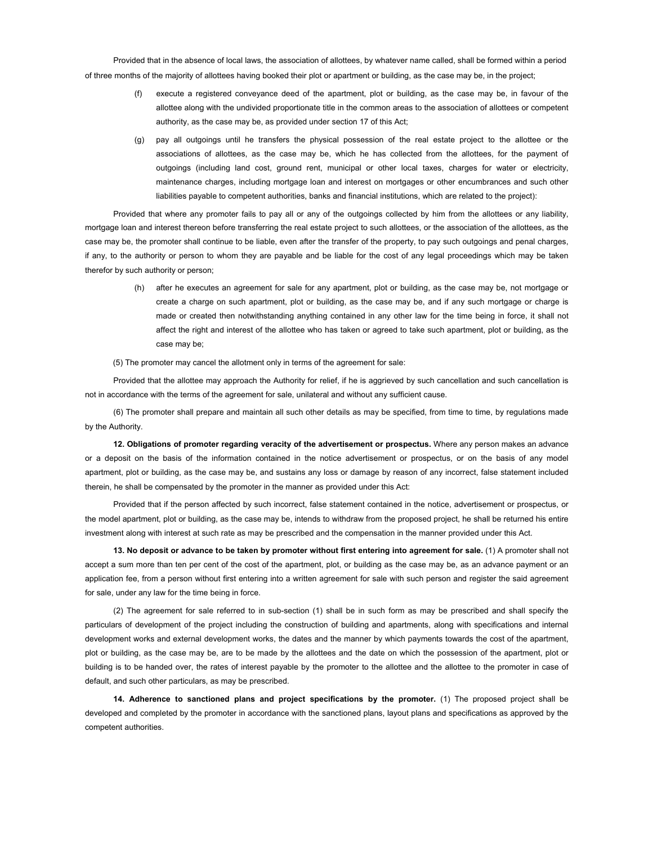Provided that in the absence of local laws, the association of allottees, by whatever name called, shall be formed within a period of three months of the majority of allottees having booked their plot or apartment or building, as the case may be, in the project;

- (f) execute a registered conveyance deed of the apartment, plot or building, as the case may be, in favour of the allottee along with the undivided proportionate title in the common areas to the association of allottees or competent authority, as the case may be, as provided under section 17 of this Act;
- (g) pay all outgoings until he transfers the physical possession of the real estate project to the allottee or the associations of allottees, as the case may be, which he has collected from the allottees, for the payment of outgoings (including land cost, ground rent, municipal or other local taxes, charges for water or electricity, maintenance charges, including mortgage loan and interest on mortgages or other encumbrances and such other liabilities payable to competent authorities, banks and financial institutions, which are related to the project):

Provided that where any promoter fails to pay all or any of the outgoings collected by him from the allottees or any liability, mortgage loan and interest thereon before transferring the real estate project to such allottees, or the association of the allottees, as the case may be, the promoter shall continue to be liable, even after the transfer of the property, to pay such outgoings and penal charges, if any, to the authority or person to whom they are payable and be liable for the cost of any legal proceedings which may be taken therefor by such authority or person;

- (h) after he executes an agreement for sale for any apartment, plot or building, as the case may be, not mortgage or create a charge on such apartment, plot or building, as the case may be, and if any such mortgage or charge is made or created then notwithstanding anything contained in any other law for the time being in force, it shall not affect the right and interest of the allottee who has taken or agreed to take such apartment, plot or building, as the case may be;
- (5) The promoter may cancel the allotment only in terms of the agreement for sale:

Provided that the allottee may approach the Authority for relief, if he is aggrieved by such cancellation and such cancellation is not in accordance with the terms of the agreement for sale, unilateral and without any sufficient cause.

(6) The promoter shall prepare and maintain all such other details as may be specified, from time to time, by regulations made by the Authority.

**12. Obligations of promoter regarding veracity of the advertisement or prospectus.** Where any person makes an advance or a deposit on the basis of the information contained in the notice advertisement or prospectus, or on the basis of any model apartment, plot or building, as the case may be, and sustains any loss or damage by reason of any incorrect, false statement included therein, he shall be compensated by the promoter in the manner as provided under this Act:

Provided that if the person affected by such incorrect, false statement contained in the notice, advertisement or prospectus, or the model apartment, plot or building, as the case may be, intends to withdraw from the proposed project, he shall be returned his entire investment along with interest at such rate as may be prescribed and the compensation in the manner provided under this Act.

**13. No deposit or advance to be taken by promoter without first entering into agreement for sale.** (1) A promoter shall not accept a sum more than ten per cent of the cost of the apartment, plot, or building as the case may be, as an advance payment or an application fee, from a person without first entering into a written agreement for sale with such person and register the said agreement for sale, under any law for the time being in force.

(2) The agreement for sale referred to in sub-section (1) shall be in such form as may be prescribed and shall specify the particulars of development of the project including the construction of building and apartments, along with specifications and internal development works and external development works, the dates and the manner by which payments towards the cost of the apartment, plot or building, as the case may be, are to be made by the allottees and the date on which the possession of the apartment, plot or building is to be handed over, the rates of interest payable by the promoter to the allottee and the allottee to the promoter in case of default, and such other particulars, as may be prescribed.

**14. Adherence to sanctioned plans and project specifications by the promoter.** (1) The proposed project shall be developed and completed by the promoter in accordance with the sanctioned plans, layout plans and specifications as approved by the competent authorities.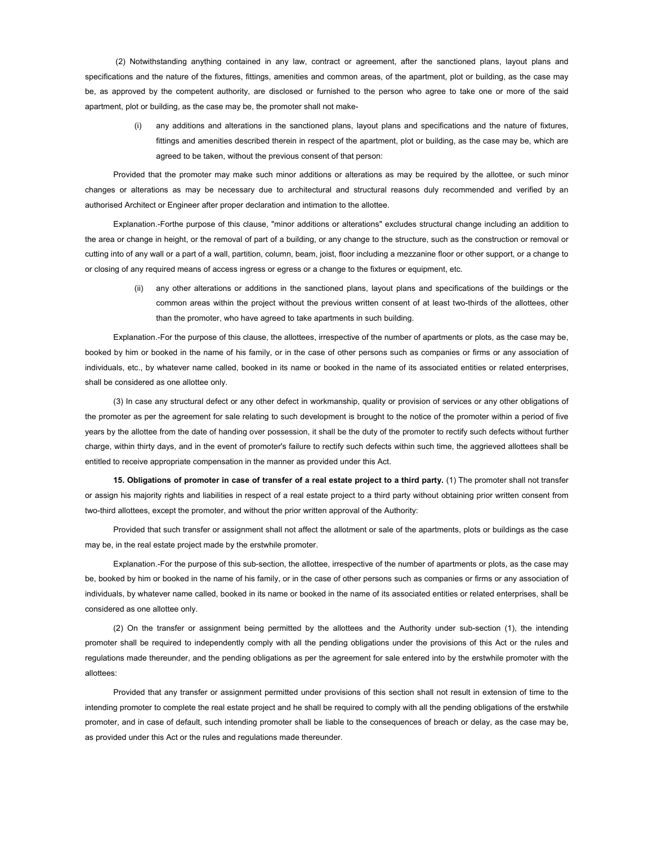(2) Notwithstanding anything contained in any law, contract or agreement, after the sanctioned plans, layout plans and specifications and the nature of the fixtures, fittings, amenities and common areas, of the apartment, plot or building, as the case may be, as approved by the competent authority, are disclosed or furnished to the person who agree to take one or more of the said apartment, plot or building, as the case may be, the promoter shall not make-

(i) any additions and alterations in the sanctioned plans, layout plans and specifications and the nature of fixtures, fittings and amenities described therein in respect of the apartment, plot or building, as the case may be, which are agreed to be taken, without the previous consent of that person:

Provided that the promoter may make such minor additions or alterations as may be required by the allottee, or such minor changes or alterations as may be necessary due to architectural and structural reasons duly recommended and verified by an authorised Architect or Engineer after proper declaration and intimation to the allottee.

Explanation.-Forthe purpose of this clause, "minor additions or alterations" excludes structural change including an addition to the area or change in height, or the removal of part of a building, or any change to the structure, such as the construction or removal or cutting into of any wall or a part of a wall, partition, column, beam, joist, floor including a mezzanine floor or other support, or a change to or closing of any required means of access ingress or egress or a change to the fixtures or equipment, etc.

> (ii) any other alterations or additions in the sanctioned plans, layout plans and specifications of the buildings or the common areas within the project without the previous written consent of at least two-thirds of the allottees, other than the promoter, who have agreed to take apartments in such building.

Explanation.-For the purpose of this clause, the allottees, irrespective of the number of apartments or plots, as the case may be, booked by him or booked in the name of his family, or in the case of other persons such as companies or firms or any association of individuals, etc., by whatever name called, booked in its name or booked in the name of its associated entities or related enterprises, shall be considered as one allottee only.

(3) In case any structural defect or any other defect in workmanship, quality or provision of services or any other obligations of the promoter as per the agreement for sale relating to such development is brought to the notice of the promoter within a period of five years by the allottee from the date of handing over possession, it shall be the duty of the promoter to rectify such defects without further charge, within thirty days, and in the event of promoter's failure to rectify such defects within such time, the aggrieved allottees shall be entitled to receive appropriate compensation in the manner as provided under this Act.

**15. Obligations of promoter in case of transfer of a real estate project to a third party.** (1) The promoter shall not transfer or assign his majority rights and liabilities in respect of a real estate project to a third party without obtaining prior written consent from two-third allottees, except the promoter, and without the prior written approval of the Authority:

Provided that such transfer or assignment shall not affect the allotment or sale of the apartments, plots or buildings as the case may be, in the real estate project made by the erstwhile promoter.

Explanation.-For the purpose of this sub-section, the allottee, irrespective of the number of apartments or plots, as the case may be, booked by him or booked in the name of his family, or in the case of other persons such as companies or firms or any association of individuals, by whatever name called, booked in its name or booked in the name of its associated entities or related enterprises, shall be considered as one allottee only.

(2) On the transfer or assignment being permitted by the allottees and the Authority under sub-section (1), the intending promoter shall be required to independently comply with all the pending obligations under the provisions of this Act or the rules and regulations made thereunder, and the pending obligations as per the agreement for sale entered into by the erstwhile promoter with the allottees:

Provided that any transfer or assignment permitted under provisions of this section shall not result in extension of time to the intending promoter to complete the real estate project and he shall be required to comply with all the pending obligations of the erstwhile promoter, and in case of default, such intending promoter shall be liable to the consequences of breach or delay, as the case may be, as provided under this Act or the rules and regulations made thereunder.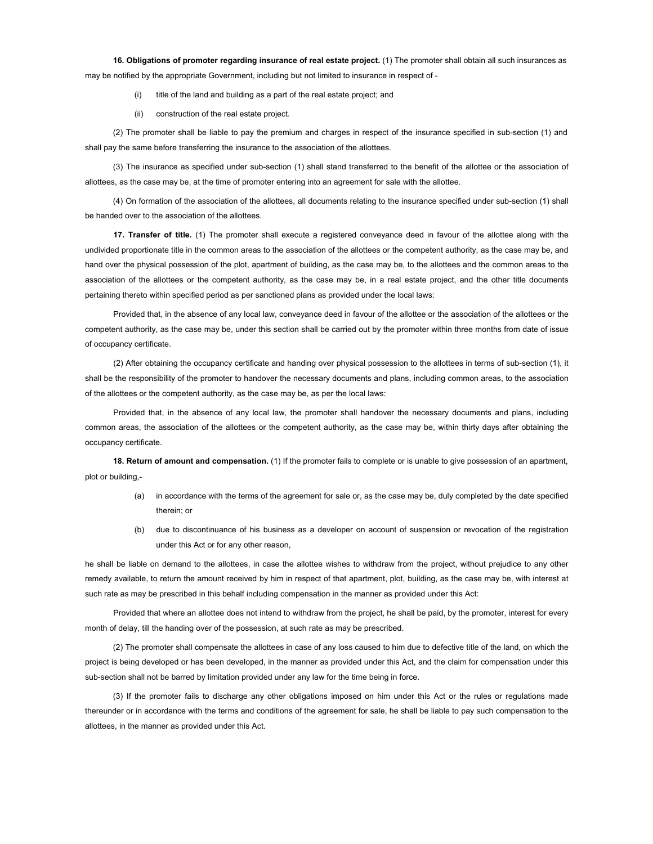**16. Obligations of promoter regarding insurance of real estate project.** (1) The promoter shall obtain all such insurances as may be notified by the appropriate Government, including but not limited to insurance in respect of -

- (i) title of the land and building as a part of the real estate project; and
- (ii) construction of the real estate project.

(2) The promoter shall be liable to pay the premium and charges in respect of the insurance specified in sub-section (1) and shall pay the same before transferring the insurance to the association of the allottees.

(3) The insurance as specified under sub-section (1) shall stand transferred to the benefit of the allottee or the association of allottees, as the case may be, at the time of promoter entering into an agreement for sale with the allottee.

(4) On formation of the association of the allottees, all documents relating to the insurance specified under sub-section (1) shall be handed over to the association of the allottees.

**17. Transfer of title.** (1) The promoter shall execute a registered conveyance deed in favour of the allottee along with the undivided proportionate title in the common areas to the association of the allottees or the competent authority, as the case may be, and hand over the physical possession of the plot, apartment of building, as the case may be, to the allottees and the common areas to the association of the allottees or the competent authority, as the case may be, in a real estate project, and the other title documents pertaining thereto within specified period as per sanctioned plans as provided under the local laws:

Provided that, in the absence of any local law, conveyance deed in favour of the allottee or the association of the allottees or the competent authority, as the case may be, under this section shall be carried out by the promoter within three months from date of issue of occupancy certificate.

(2) After obtaining the occupancy certificate and handing over physical possession to the allottees in terms of sub-section (1), it shall be the responsibility of the promoter to handover the necessary documents and plans, including common areas, to the association of the allottees or the competent authority, as the case may be, as per the local laws:

Provided that, in the absence of any local law, the promoter shall handover the necessary documents and plans, including common areas, the association of the allottees or the competent authority, as the case may be, within thirty days after obtaining the occupancy certificate.

**18. Return of amount and compensation.** (1) If the promoter fails to complete or is unable to give possession of an apartment, plot or building,-

- (a) in accordance with the terms of the agreement for sale or, as the case may be, duly completed by the date specified therein; or
- (b) due to discontinuance of his business as a developer on account of suspension or revocation of the registration under this Act or for any other reason,

he shall be liable on demand to the allottees, in case the allottee wishes to withdraw from the project, without prejudice to any other remedy available, to return the amount received by him in respect of that apartment, plot, building, as the case may be, with interest at such rate as may be prescribed in this behalf including compensation in the manner as provided under this Act:

Provided that where an allottee does not intend to withdraw from the project, he shall be paid, by the promoter, interest for every month of delay, till the handing over of the possession, at such rate as may be prescribed.

(2) The promoter shall compensate the allottees in case of any loss caused to him due to defective title of the land, on which the project is being developed or has been developed, in the manner as provided under this Act, and the claim for compensation under this sub-section shall not be barred by limitation provided under any law for the time being in force.

(3) If the promoter fails to discharge any other obligations imposed on him under this Act or the rules or regulations made thereunder or in accordance with the terms and conditions of the agreement for sale, he shall be liable to pay such compensation to the allottees, in the manner as provided under this Act.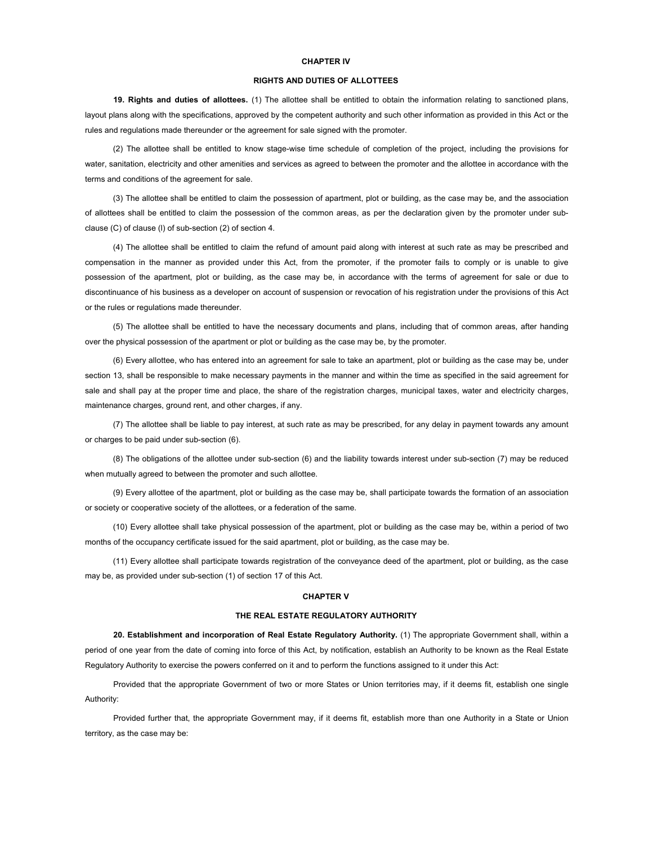#### **CHAPTER IV**

#### **RIGHTS AND DUTIES OF ALLOTTEES**

**19. Rights and duties of allottees.** (1) The allottee shall be entitled to obtain the information relating to sanctioned plans, layout plans along with the specifications, approved by the competent authority and such other information as provided in this Act or the rules and regulations made thereunder or the agreement for sale signed with the promoter.

(2) The allottee shall be entitled to know stage-wise time schedule of completion of the project, including the provisions for water, sanitation, electricity and other amenities and services as agreed to between the promoter and the allottee in accordance with the terms and conditions of the agreement for sale.

(3) The allottee shall be entitled to claim the possession of apartment, plot or building, as the case may be, and the association of allottees shall be entitled to claim the possession of the common areas, as per the declaration given by the promoter under subclause (C) of clause (l) of sub-section (2) of section 4.

(4) The allottee shall be entitled to claim the refund of amount paid along with interest at such rate as may be prescribed and compensation in the manner as provided under this Act, from the promoter, if the promoter fails to comply or is unable to give possession of the apartment, plot or building, as the case may be, in accordance with the terms of agreement for sale or due to discontinuance of his business as a developer on account of suspension or revocation of his registration under the provisions of this Act or the rules or regulations made thereunder.

(5) The allottee shall be entitled to have the necessary documents and plans, including that of common areas, after handing over the physical possession of the apartment or plot or building as the case may be, by the promoter.

(6) Every allottee, who has entered into an agreement for sale to take an apartment, plot or building as the case may be, under section 13, shall be responsible to make necessary payments in the manner and within the time as specified in the said agreement for sale and shall pay at the proper time and place, the share of the registration charges, municipal taxes, water and electricity charges, maintenance charges, ground rent, and other charges, if any.

(7) The allottee shall be liable to pay interest, at such rate as may be prescribed, for any delay in payment towards any amount or charges to be paid under sub-section (6).

(8) The obligations of the allottee under sub-section (6) and the liability towards interest under sub-section (7) may be reduced when mutually agreed to between the promoter and such allottee.

(9) Every allottee of the apartment, plot or building as the case may be, shall participate towards the formation of an association or society or cooperative society of the allottees, or a federation of the same.

(10) Every allottee shall take physical possession of the apartment, plot or building as the case may be, within a period of two months of the occupancy certificate issued for the said apartment, plot or building, as the case may be.

(11) Every allottee shall participate towards registration of the conveyance deed of the apartment, plot or building, as the case may be, as provided under sub-section (1) of section 17 of this Act.

## **CHAPTER V**

#### **THE REAL ESTATE REGULATORY AUTHORITY**

**20. Establishment and incorporation of Real Estate Regulatory Authority.** (1) The appropriate Government shall, within a period of one year from the date of coming into force of this Act, by notification, establish an Authority to be known as the Real Estate Regulatory Authority to exercise the powers conferred on it and to perform the functions assigned to it under this Act:

Provided that the appropriate Government of two or more States or Union territories may, if it deems fit, establish one single Authority:

Provided further that, the appropriate Government may, if it deems fit, establish more than one Authority in a State or Union territory, as the case may be: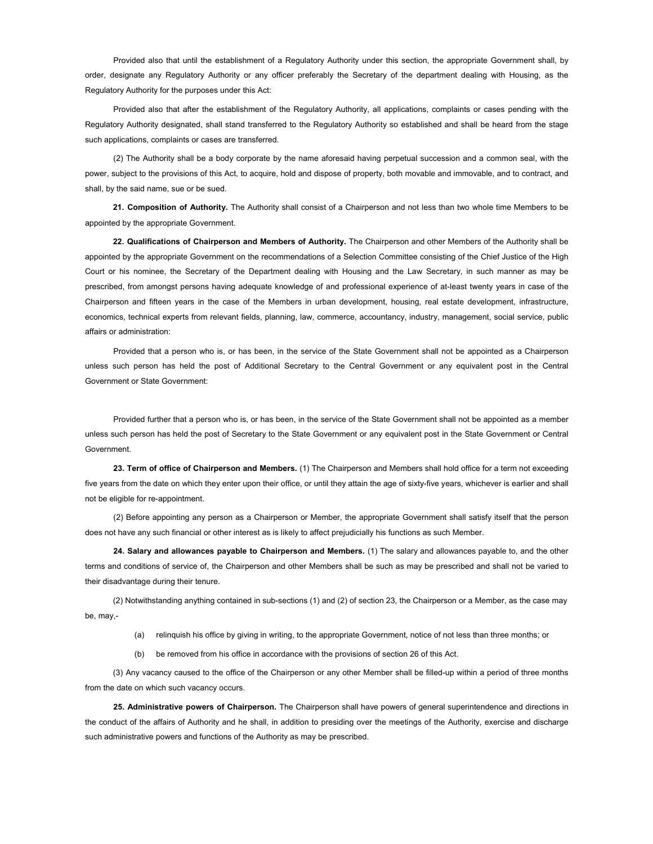Provided also that until the establishment of a Regulatory Authority under this section, the appropriate Government shall, by order, designate any Regulatory Authority or any officer preferably the Secretary of the department dealing with Housing, as the Regulatory Authority for the purposes under this Act:

Provided also that after the establishment of the Regulatory Authority, all applications, complaints or cases pending with the Regulatory Authority designated, shall stand transferred to the Regulatory Authority so established and shall be heard from the stage such applications, complaints or cases are transferred.

(2) The Authority shall be a body corporate by the name aforesaid having perpetual succession and a common seal, with the power, subject to the provisions of this Act, to acquire, hold and dispose of property, both movable and immovable, and to contract, and shall, by the said name, sue or be sued.

**21. Composition of Authority.** The Authority shall consist of a Chairperson and not less than two whole time Members to be appointed by the appropriate Government.

**22. Qualifications of Chairperson and Members of Authority.** The Chairperson and other Members of the Authority shall be appointed by the appropriate Government on the recommendations of a Selection Committee consisting of the Chief Justice of the High Court or his nominee, the Secretary of the Department dealing with Housing and the Law Secretary, in such manner as may be prescribed, from amongst persons having adequate knowledge of and professional experience of at-least twenty years in case of the Chairperson and fifteen years in the case of the Members in urban development, housing, real estate development, infrastructure, economics, technical experts from relevant fields, planning, law, commerce, accountancy, industry, management, social service, public affairs or administration:

Provided that a person who is, or has been, in the service of the State Government shall not be appointed as a Chairperson unless such person has held the post of Additional Secretary to the Central Government or any equivalent post in the Central Government or State Government:

Provided further that a person who is, or has been, in the service of the State Government shall not be appointed as a member unless such person has held the post of Secretary to the State Government or any equivalent post in the State Government or Central Government.

**23. Term of office of Chairperson and Members.** (1) The Chairperson and Members shall hold office for a term not exceeding five years from the date on which they enter upon their office, or until they attain the age of sixty-five years, whichever is earlier and shall not be eligible for re-appointment.

(2) Before appointing any person as a Chairperson or Member, the appropriate Government shall satisfy itself that the person does not have any such financial or other interest as is likely to affect prejudicially his functions as such Member.

**24. Salary and allowances payable to Chairperson and Members.** (1) The salary and allowances payable to, and the other terms and conditions of service of, the Chairperson and other Members shall be such as may be prescribed and shall not be varied to their disadvantage during their tenure.

(2) Notwithstanding anything contained in sub-sections (1) and (2) of section 23, the Chairperson or a Member, as the case may be, may,-

- (a) relinquish his office by giving in writing, to the appropriate Government, notice of not less than three months; or
- (b) be removed from his office in accordance with the provisions of section 26 of this Act.

(3) Any vacancy caused to the office of the Chairperson or any other Member shall be filled-up within a period of three months from the date on which such vacancy occurs.

**25. Administrative powers of Chairperson.** The Chairperson shall have powers of general superintendence and directions in the conduct of the affairs of Authority and he shall, in addition to presiding over the meetings of the Authority, exercise and discharge such administrative powers and functions of the Authority as may be prescribed.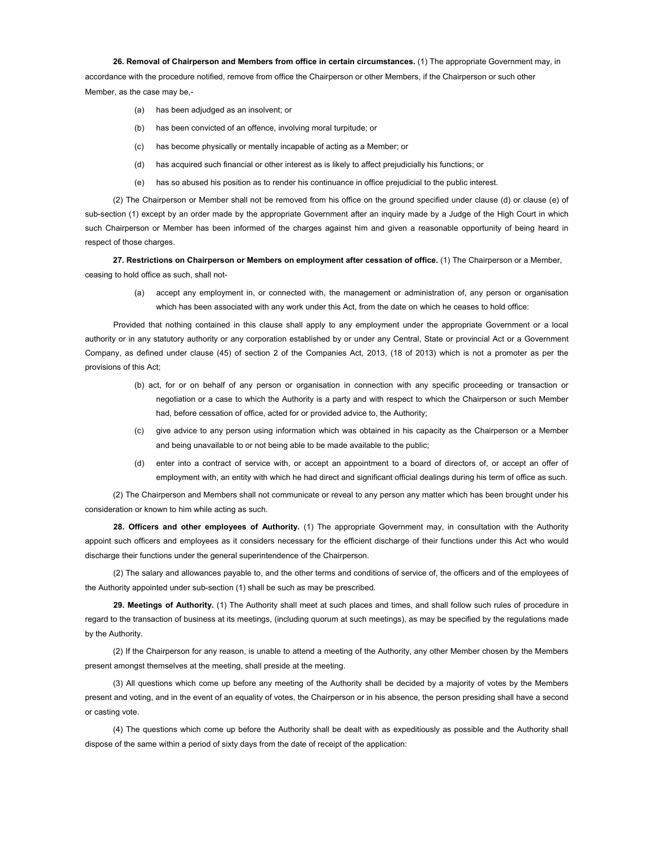**26. Removal of Chairperson and Members from office in certain circumstances.** (1) The appropriate Government may, in accordance with the procedure notified, remove from office the Chairperson or other Members, if the Chairperson or such other Member, as the case may be,-

- (a) has been adjudged as an insolvent; or
- (b) has been convicted of an offence, involving moral turpitude; or
- (c) has become physically or mentally incapable of acting as a Member; or
- (d) has acquired such financial or other interest as is likely to affect prejudicially his functions; or
- (e) has so abused his position as to render his continuance in office prejudicial to the public interest.

(2) The Chairperson or Member shall not be removed from his office on the ground specified under clause (d) or clause (e) of sub-section (1) except by an order made by the appropriate Government after an inquiry made by a Judge of the High Court in which such Chairperson or Member has been informed of the charges against him and given a reasonable opportunity of being heard in respect of those charges.

**27. Restrictions on Chairperson or Members on employment after cessation of office.** (1) The Chairperson or a Member, ceasing to hold office as such, shall not-

> (a) accept any employment in, or connected with, the management or administration of, any person or organisation which has been associated with any work under this Act, from the date on which he ceases to hold office:

Provided that nothing contained in this clause shall apply to any employment under the appropriate Government or a local authority or in any statutory authority or any corporation established by or under any Central, State or provincial Act or a Government Company, as defined under clause (45) of section 2 of the Companies Act, 2013, (18 of 2013) which is not a promoter as per the provisions of this Act;

- (b) act, for or on behalf of any person or organisation in connection with any specific proceeding or transaction or negotiation or a case to which the Authority is a party and with respect to which the Chairperson or such Member had, before cessation of office, acted for or provided advice to, the Authority;
- (c) give advice to any person using information which was obtained in his capacity as the Chairperson or a Member and being unavailable to or not being able to be made available to the public;
- (d) enter into a contract of service with, or accept an appointment to a board of directors of, or accept an offer of employment with, an entity with which he had direct and significant official dealings during his term of office as such.

(2) The Chairperson and Members shall not communicate or reveal to any person any matter which has been brought under his consideration or known to him while acting as such.

**28. Officers and other employees of Authority.** (1) The appropriate Government may, in consultation with the Authority appoint such officers and employees as it considers necessary for the efficient discharge of their functions under this Act who would discharge their functions under the general superintendence of the Chairperson.

(2) The salary and allowances payable to, and the other terms and conditions of service of, the officers and of the employees of the Authority appointed under sub-section (1) shall be such as may be prescribed.

**29. Meetings of Authority.** (1) The Authority shall meet at such places and times, and shall follow such rules of procedure in regard to the transaction of business at its meetings, (including quorum at such meetings), as may be specified by the regulations made by the Authority.

(2) If the Chairperson for any reason, is unable to attend a meeting of the Authority, any other Member chosen by the Members present amongst themselves at the meeting, shall preside at the meeting.

(3) All questions which come up before any meeting of the Authority shall be decided by a majority of votes by the Members present and voting, and in the event of an equality of votes, the Chairperson or in his absence, the person presiding shall have a second or casting vote.

(4) The questions which come up before the Authority shall be dealt with as expeditiously as possible and the Authority shall dispose of the same within a period of sixty days from the date of receipt of the application: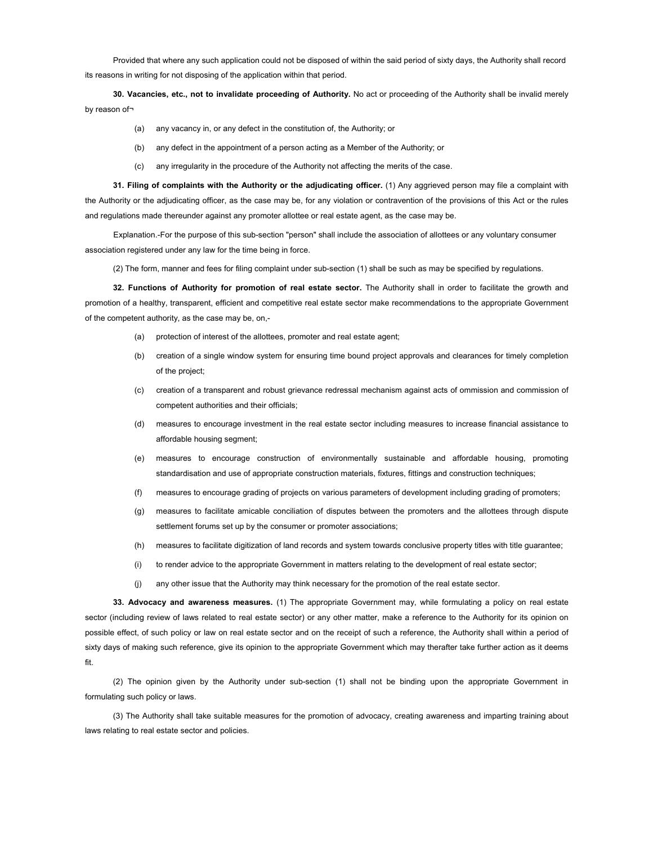Provided that where any such application could not be disposed of within the said period of sixty days, the Authority shall record its reasons in writing for not disposing of the application within that period.

**30. Vacancies, etc., not to invalidate proceeding of Authority.** No act or proceeding of the Authority shall be invalid merely by reason of¬

- (a) any vacancy in, or any defect in the constitution of, the Authority; or
- (b) any defect in the appointment of a person acting as a Member of the Authority; or
- (c) any irregularity in the procedure of the Authority not affecting the merits of the case.

**31. Filing of complaints with the Authority or the adjudicating officer.** (1) Any aggrieved person may file a complaint with the Authority or the adjudicating officer, as the case may be, for any violation or contravention of the provisions of this Act or the rules and regulations made thereunder against any promoter allottee or real estate agent, as the case may be.

Explanation.-For the purpose of this sub-section "person" shall include the association of allottees or any voluntary consumer association registered under any law for the time being in force.

(2) The form, manner and fees for filing complaint under sub-section (1) shall be such as may be specified by regulations.

**32. Functions of Authority for promotion of real estate sector.** The Authority shall in order to facilitate the growth and promotion of a healthy, transparent, efficient and competitive real estate sector make recommendations to the appropriate Government of the competent authority, as the case may be, on,-

- (a) protection of interest of the allottees, promoter and real estate agent;
- (b) creation of a single window system for ensuring time bound project approvals and clearances for timely completion of the project;
- (c) creation of a transparent and robust grievance redressal mechanism against acts of ommission and commission of competent authorities and their officials;
- (d) measures to encourage investment in the real estate sector including measures to increase financial assistance to affordable housing segment;
- (e) measures to encourage construction of environmentally sustainable and affordable housing, promoting standardisation and use of appropriate construction materials, fixtures, fittings and construction techniques;
- (f) measures to encourage grading of projects on various parameters of development including grading of promoters;
- (g) measures to facilitate amicable conciliation of disputes between the promoters and the allottees through dispute settlement forums set up by the consumer or promoter associations;
- (h) measures to facilitate digitization of land records and system towards conclusive property titles with title guarantee;
- (i) to render advice to the appropriate Government in matters relating to the development of real estate sector;
- (j) any other issue that the Authority may think necessary for the promotion of the real estate sector.

**33. Advocacy and awareness measures.** (1) The appropriate Government may, while formulating a policy on real estate sector (including review of laws related to real estate sector) or any other matter, make a reference to the Authority for its opinion on possible effect, of such policy or law on real estate sector and on the receipt of such a reference, the Authority shall within a period of sixty days of making such reference, give its opinion to the appropriate Government which may therafter take further action as it deems fit.

(2) The opinion given by the Authority under sub-section (1) shall not be binding upon the appropriate Government in formulating such policy or laws.

(3) The Authority shall take suitable measures for the promotion of advocacy, creating awareness and imparting training about laws relating to real estate sector and policies.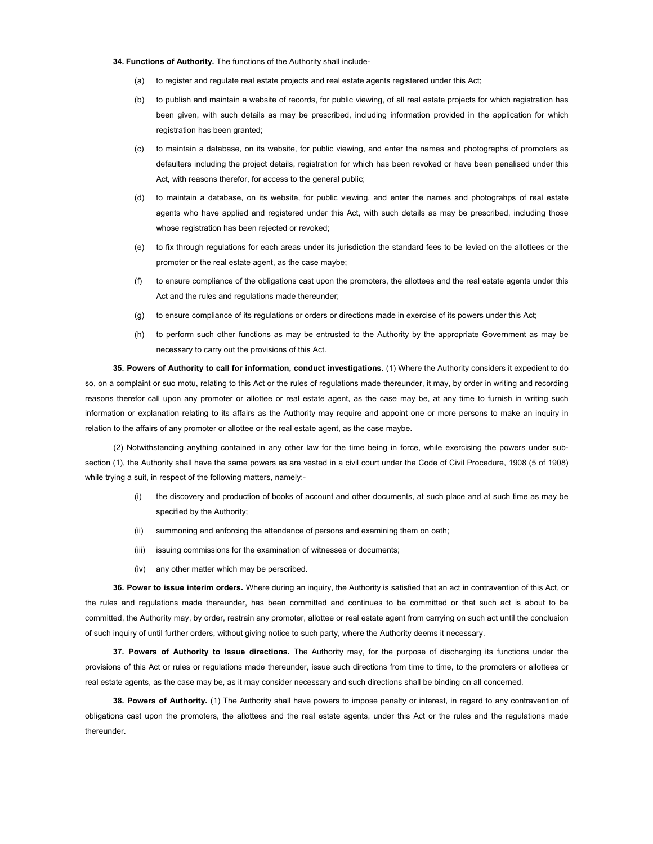**34. Functions of Authority.** The functions of the Authority shall include-

- to register and regulate real estate projects and real estate agents registered under this Act;
- (b) to publish and maintain a website of records, for public viewing, of all real estate projects for which registration has been given, with such details as may be prescribed, including information provided in the application for which registration has been granted:
- (c) to maintain a database, on its website, for public viewing, and enter the names and photographs of promoters as defaulters including the project details, registration for which has been revoked or have been penalised under this Act, with reasons therefor, for access to the general public;
- (d) to maintain a database, on its website, for public viewing, and enter the names and photograhps of real estate agents who have applied and registered under this Act, with such details as may be prescribed, including those whose registration has been rejected or revoked;
- (e) to fix through regulations for each areas under its jurisdiction the standard fees to be levied on the allottees or the promoter or the real estate agent, as the case maybe;
- (f) to ensure compliance of the obligations cast upon the promoters, the allottees and the real estate agents under this Act and the rules and regulations made thereunder;
- (g) to ensure compliance of its regulations or orders or directions made in exercise of its powers under this Act;
- (h) to perform such other functions as may be entrusted to the Authority by the appropriate Government as may be necessary to carry out the provisions of this Act.

**35. Powers of Authority to call for information, conduct investigations.** (1) Where the Authority considers it expedient to do so, on a complaint or suo motu, relating to this Act or the rules of regulations made thereunder, it may, by order in writing and recording reasons therefor call upon any promoter or allottee or real estate agent, as the case may be, at any time to furnish in writing such information or explanation relating to its affairs as the Authority may require and appoint one or more persons to make an inquiry in relation to the affairs of any promoter or allottee or the real estate agent, as the case maybe.

(2) Notwithstanding anything contained in any other law for the time being in force, while exercising the powers under subsection (1), the Authority shall have the same powers as are vested in a civil court under the Code of Civil Procedure, 1908 (5 of 1908) while trying a suit, in respect of the following matters, namely:-

- (i) the discovery and production of books of account and other documents, at such place and at such time as may be specified by the Authority;
- (ii) summoning and enforcing the attendance of persons and examining them on oath;
- (iii) issuing commissions for the examination of witnesses or documents;
- (iv) any other matter which may be perscribed.

**36. Power to issue interim orders.** Where during an inquiry, the Authority is satisfied that an act in contravention of this Act, or the rules and regulations made thereunder, has been committed and continues to be committed or that such act is about to be committed, the Authority may, by order, restrain any promoter, allottee or real estate agent from carrying on such act until the conclusion of such inquiry of until further orders, without giving notice to such party, where the Authority deems it necessary.

**37. Powers of Authority to Issue directions.** The Authority may, for the purpose of discharging its functions under the provisions of this Act or rules or regulations made thereunder, issue such directions from time to time, to the promoters or allottees or real estate agents, as the case may be, as it may consider necessary and such directions shall be binding on all concerned.

**38. Powers of Authority.** (1) The Authority shall have powers to impose penalty or interest, in regard to any contravention of obligations cast upon the promoters, the allottees and the real estate agents, under this Act or the rules and the regulations made thereunder.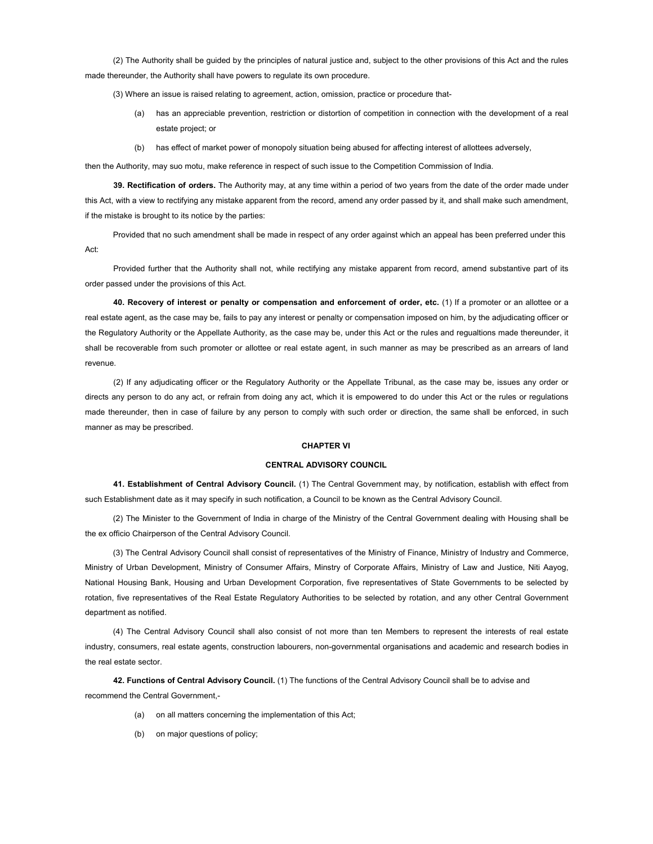(2) The Authority shall be guided by the principles of natural justice and, subject to the other provisions of this Act and the rules made thereunder, the Authority shall have powers to regulate its own procedure.

(3) Where an issue is raised relating to agreement, action, omission, practice or procedure that-

- (a) has an appreciable prevention, restriction or distortion of competition in connection with the development of a real estate project; or
- (b) has effect of market power of monopoly situation being abused for affecting interest of allottees adversely,

then the Authority, may suo motu, make reference in respect of such issue to the Competition Commission of India.

**39. Rectification of orders.** The Authority may, at any time within a period of two years from the date of the order made under this Act, with a view to rectifying any mistake apparent from the record, amend any order passed by it, and shall make such amendment, if the mistake is brought to its notice by the parties:

Provided that no such amendment shall be made in respect of any order against which an appeal has been preferred under this Act:

Provided further that the Authority shall not, while rectifying any mistake apparent from record, amend substantive part of its order passed under the provisions of this Act.

**40. Recovery of interest or penalty or compensation and enforcement of order, etc.** (1) If a promoter or an allottee or a real estate agent, as the case may be, fails to pay any interest or penalty or compensation imposed on him, by the adjudicating officer or the Regulatory Authority or the Appellate Authority, as the case may be, under this Act or the rules and regualtions made thereunder, it shall be recoverable from such promoter or allottee or real estate agent, in such manner as may be prescribed as an arrears of land revenue.

(2) If any adjudicating officer or the Regulatory Authority or the Appellate Tribunal, as the case may be, issues any order or directs any person to do any act, or refrain from doing any act, which it is empowered to do under this Act or the rules or regulations made thereunder, then in case of failure by any person to comply with such order or direction, the same shall be enforced, in such manner as may be prescribed.

## **CHAPTER VI**

#### **CENTRAL ADVISORY COUNCIL**

**41. Establishment of Central Advisory Council.** (1) The Central Government may, by notification, establish with effect from such Establishment date as it may specify in such notification, a Council to be known as the Central Advisory Council.

(2) The Minister to the Government of India in charge of the Ministry of the Central Government dealing with Housing shall be the ex officio Chairperson of the Central Advisory Council.

(3) The Central Advisory Council shall consist of representatives of the Ministry of Finance, Ministry of Industry and Commerce, Ministry of Urban Development, Ministry of Consumer Affairs, Minstry of Corporate Affairs, Ministry of Law and Justice, Niti Aayog, National Housing Bank, Housing and Urban Development Corporation, five representatives of State Governments to be selected by rotation, five representatives of the Real Estate Regulatory Authorities to be selected by rotation, and any other Central Government department as notified.

(4) The Central Advisory Council shall also consist of not more than ten Members to represent the interests of real estate industry, consumers, real estate agents, construction labourers, non-governmental organisations and academic and research bodies in the real estate sector.

**42. Functions of Central Advisory Council.** (1) The functions of the Central Advisory Council shall be to advise and recommend the Central Government -

- (a) on all matters concerning the implementation of this Act;
- (b) on major questions of policy;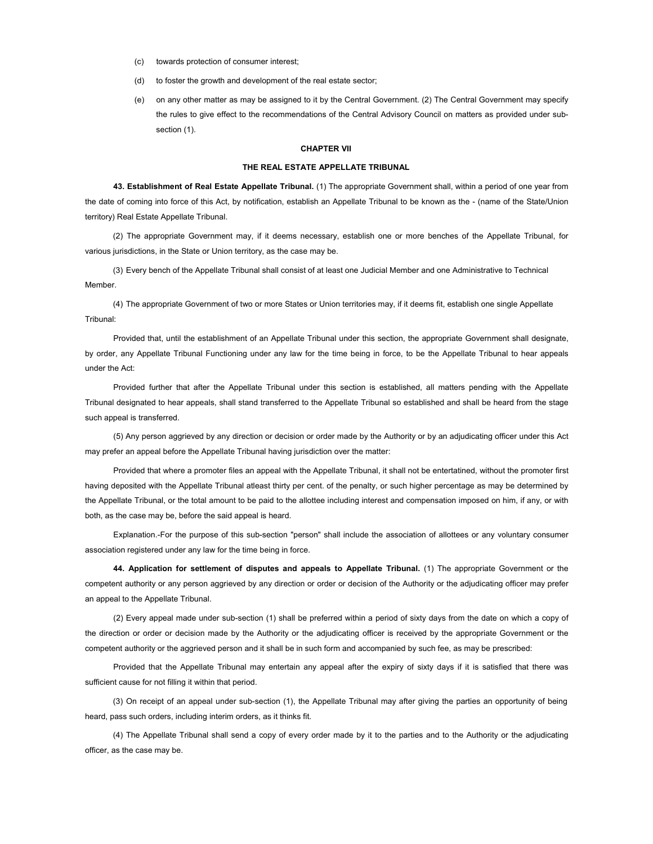- (c) towards protection of consumer interest;
- (d) to foster the growth and development of the real estate sector;
- (e) on any other matter as may be assigned to it by the Central Government. (2) The Central Government may specify the rules to give effect to the recommendations of the Central Advisory Council on matters as provided under subsection (1).

## **CHAPTER VII**

### **THE REAL ESTATE APPELLATE TRIBUNAL**

**43. Establishment of Real Estate Appellate Tribunal.** (1) The appropriate Government shall, within a period of one year from the date of coming into force of this Act, by notification, establish an Appellate Tribunal to be known as the - (name of the State/Union territory) Real Estate Appellate Tribunal.

(2) The appropriate Government may, if it deems necessary, establish one or more benches of the Appellate Tribunal, for various jurisdictions, in the State or Union territory, as the case may be.

(3) Every bench of the Appellate Tribunal shall consist of at least one Judicial Member and one Administrative to Technical Member.

(4) The appropriate Government of two or more States or Union territories may, if it deems fit, establish one single Appellate Tribunal:

Provided that, until the establishment of an Appellate Tribunal under this section, the appropriate Government shall designate, by order, any Appellate Tribunal Functioning under any law for the time being in force, to be the Appellate Tribunal to hear appeals under the Act:

Provided further that after the Appellate Tribunal under this section is established, all matters pending with the Appellate Tribunal designated to hear appeals, shall stand transferred to the Appellate Tribunal so established and shall be heard from the stage such appeal is transferred.

(5) Any person aggrieved by any direction or decision or order made by the Authority or by an adjudicating officer under this Act may prefer an appeal before the Appellate Tribunal having jurisdiction over the matter:

Provided that where a promoter files an appeal with the Appellate Tribunal, it shall not be entertatined, without the promoter first having deposited with the Appellate Tribunal atleast thirty per cent. of the penalty, or such higher percentage as may be determined by the Appellate Tribunal, or the total amount to be paid to the allottee including interest and compensation imposed on him, if any, or with both, as the case may be, before the said appeal is heard.

Explanation.-For the purpose of this sub-section "person" shall include the association of allottees or any voluntary consumer association registered under any law for the time being in force.

**44. Application for settlement of disputes and appeals to Appellate Tribunal.** (1) The appropriate Government or the competent authority or any person aggrieved by any direction or order or decision of the Authority or the adjudicating officer may prefer an appeal to the Appellate Tribunal.

(2) Every appeal made under sub-section (1) shall be preferred within a period of sixty days from the date on which a copy of the direction or order or decision made by the Authority or the adjudicating officer is received by the appropriate Government or the competent authority or the aggrieved person and it shall be in such form and accompanied by such fee, as may be prescribed:

Provided that the Appellate Tribunal may entertain any appeal after the expiry of sixty days if it is satisfied that there was sufficient cause for not filling it within that period.

(3) On receipt of an appeal under sub-section (1), the Appellate Tribunal may after giving the parties an opportunity of being heard, pass such orders, including interim orders, as it thinks fit.

(4) The Appellate Tribunal shall send a copy of every order made by it to the parties and to the Authority or the adjudicating officer, as the case may be.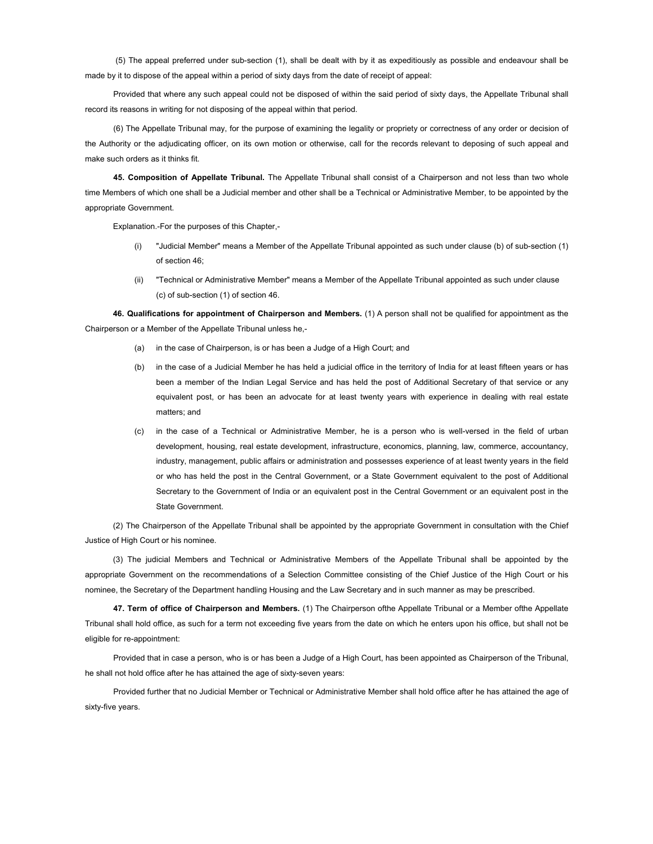(5) The appeal preferred under sub-section (1), shall be dealt with by it as expeditiously as possible and endeavour shall be made by it to dispose of the appeal within a period of sixty days from the date of receipt of appeal:

Provided that where any such appeal could not be disposed of within the said period of sixty days, the Appellate Tribunal shall record its reasons in writing for not disposing of the appeal within that period.

(6) The Appellate Tribunal may, for the purpose of examining the legality or propriety or correctness of any order or decision of the Authority or the adjudicating officer, on its own motion or otherwise, call for the records relevant to deposing of such appeal and make such orders as it thinks fit.

**45. Composition of Appellate Tribunal.** The Appellate Tribunal shall consist of a Chairperson and not less than two whole time Members of which one shall be a Judicial member and other shall be a Technical or Administrative Member, to be appointed by the appropriate Government.

Explanation.-For the purposes of this Chapter,-

- (i) "Judicial Member" means a Member of the Appellate Tribunal appointed as such under clause (b) of sub-section (1) of section 46;
- (ii) "Technical or Administrative Member" means a Member of the Appellate Tribunal appointed as such under clause (c) of sub-section (1) of section 46.

**46. Qualifications for appointment of Chairperson and Members.** (1) A person shall not be qualified for appointment as the Chairperson or a Member of the Appellate Tribunal unless he,-

- (a) in the case of Chairperson, is or has been a Judge of a High Court; and
- (b) in the case of a Judicial Member he has held a judicial office in the territory of India for at least fifteen years or has been a member of the Indian Legal Service and has held the post of Additional Secretary of that service or any equivalent post, or has been an advocate for at least twenty years with experience in dealing with real estate matters; and
- (c) in the case of a Technical or Administrative Member, he is a person who is well-versed in the field of urban development, housing, real estate development, infrastructure, economics, planning, law, commerce, accountancy, industry, management, public affairs or administration and possesses experience of at least twenty years in the field or who has held the post in the Central Government, or a State Government equivalent to the post of Additional Secretary to the Government of India or an equivalent post in the Central Government or an equivalent post in the State Government.

(2) The Chairperson of the Appellate Tribunal shall be appointed by the appropriate Government in consultation with the Chief Justice of High Court or his nominee.

(3) The judicial Members and Technical or Administrative Members of the Appellate Tribunal shall be appointed by the appropriate Government on the recommendations of a Selection Committee consisting of the Chief Justice of the High Court or his nominee, the Secretary of the Department handling Housing and the Law Secretary and in such manner as may be prescribed.

**47. Term of office of Chairperson and Members.** (1) The Chairperson ofthe Appellate Tribunal or a Member ofthe Appellate Tribunal shall hold office, as such for a term not exceeding five years from the date on which he enters upon his office, but shall not be eligible for re-appointment:

Provided that in case a person, who is or has been a Judge of a High Court, has been appointed as Chairperson of the Tribunal, he shall not hold office after he has attained the age of sixty-seven years:

Provided further that no Judicial Member or Technical or Administrative Member shall hold office after he has attained the age of sixty-five years.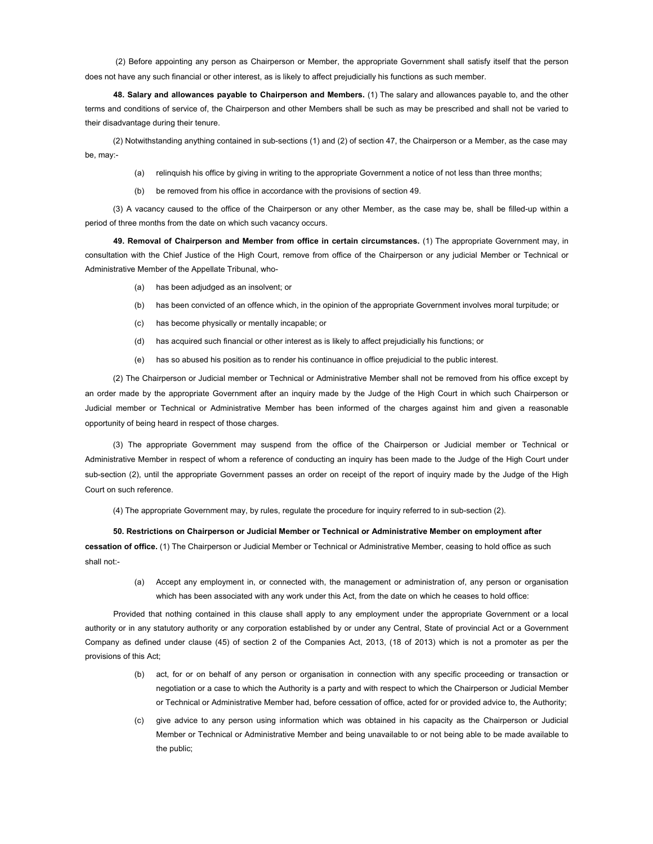(2) Before appointing any person as Chairperson or Member, the appropriate Government shall satisfy itself that the person does not have any such financial or other interest, as is likely to affect prejudicially his functions as such member.

**48. Salary and allowances payable to Chairperson and Members.** (1) The salary and allowances payable to, and the other terms and conditions of service of, the Chairperson and other Members shall be such as may be prescribed and shall not be varied to their disadvantage during their tenure.

(2) Notwithstanding anything contained in sub-sections (1) and (2) of section 47, the Chairperson or a Member, as the case may be, may:-

- (a) relinquish his office by giving in writing to the appropriate Government a notice of not less than three months;
- (b) be removed from his office in accordance with the provisions of section 49.

(3) A vacancy caused to the office of the Chairperson or any other Member, as the case may be, shall be filled-up within a period of three months from the date on which such vacancy occurs.

**49. Removal of Chairperson and Member from office in certain circumstances.** (1) The appropriate Government may, in consultation with the Chief Justice of the High Court, remove from office of the Chairperson or any judicial Member or Technical or Administrative Member of the Appellate Tribunal, who-

- (a) has been adjudged as an insolvent; or
- (b) has been convicted of an offence which, in the opinion of the appropriate Government involves moral turpitude; or
- (c) has become physically or mentally incapable; or
- (d) has acquired such financial or other interest as is likely to affect prejudicially his functions; or
- (e) has so abused his position as to render his continuance in office prejudicial to the public interest.

(2) The Chairperson or Judicial member or Technical or Administrative Member shall not be removed from his office except by an order made by the appropriate Government after an inquiry made by the Judge of the High Court in which such Chairperson or Judicial member or Technical or Administrative Member has been informed of the charges against him and given a reasonable opportunity of being heard in respect of those charges.

(3) The appropriate Government may suspend from the office of the Chairperson or Judicial member or Technical or Administrative Member in respect of whom a reference of conducting an inquiry has been made to the Judge of the High Court under sub-section (2), until the appropriate Government passes an order on receipt of the report of inquiry made by the Judge of the High Court on such reference.

(4) The appropriate Government may, by rules, regulate the procedure for inquiry referred to in sub-section (2).

**50. Restrictions on Chairperson or Judicial Member or Technical or Administrative Member on employment after cessation of office.** (1) The Chairperson or Judicial Member or Technical or Administrative Member, ceasing to hold office as such shall not:-

> (a) Accept any employment in, or connected with, the management or administration of, any person or organisation which has been associated with any work under this Act, from the date on which he ceases to hold office:

Provided that nothing contained in this clause shall apply to any employment under the appropriate Government or a local authority or in any statutory authority or any corporation established by or under any Central, State of provincial Act or a Government Company as defined under clause (45) of section 2 of the Companies Act, 2013, (18 of 2013) which is not a promoter as per the provisions of this Act;

- (b) act, for or on behalf of any person or organisation in connection with any specific proceeding or transaction or negotiation or a case to which the Authority is a party and with respect to which the Chairperson or Judicial Member or Technical or Administrative Member had, before cessation of office, acted for or provided advice to, the Authority;
- (c) give advice to any person using information which was obtained in his capacity as the Chairperson or Judicial Member or Technical or Administrative Member and being unavailable to or not being able to be made available to the public;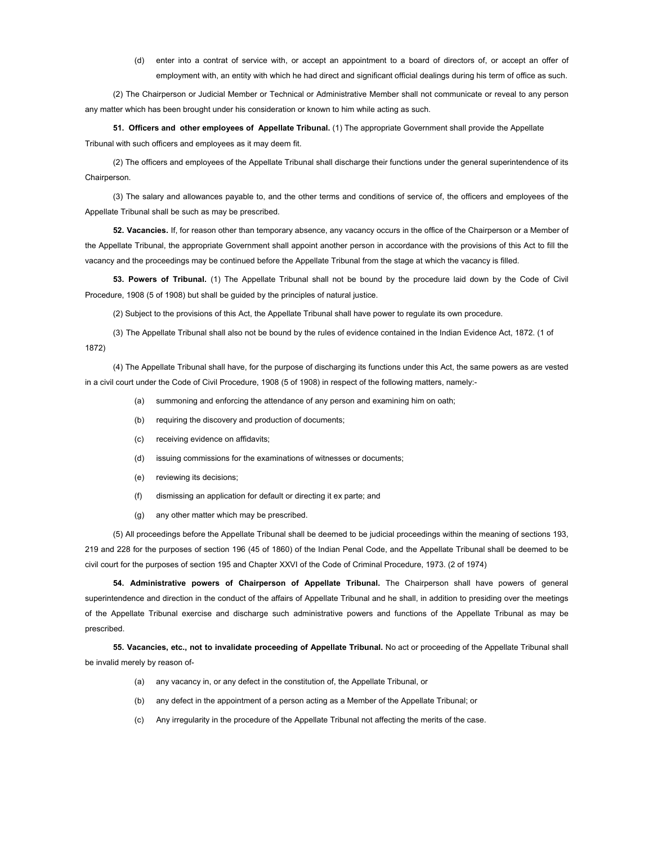(d) enter into a contrat of service with, or accept an appointment to a board of directors of, or accept an offer of employment with, an entity with which he had direct and significant official dealings during his term of office as such.

(2) The Chairperson or Judicial Member or Technical or Administrative Member shall not communicate or reveal to any person any matter which has been brought under his consideration or known to him while acting as such.

**51. Officers and other employees of Appellate Tribunal.** (1) The appropriate Government shall provide the Appellate Tribunal with such officers and employees as it may deem fit.

(2) The officers and employees of the Appellate Tribunal shall discharge their functions under the general superintendence of its Chairperson.

(3) The salary and allowances payable to, and the other terms and conditions of service of, the officers and employees of the Appellate Tribunal shall be such as may be prescribed.

**52. Vacancies.** If, for reason other than temporary absence, any vacancy occurs in the office of the Chairperson or a Member of the Appellate Tribunal, the appropriate Government shall appoint another person in accordance with the provisions of this Act to fill the vacancy and the proceedings may be continued before the Appellate Tribunal from the stage at which the vacancy is filled.

**53. Powers of Tribunal.** (1) The Appellate Tribunal shall not be bound by the procedure laid down by the Code of Civil Procedure, 1908 (5 of 1908) but shall be guided by the principles of natural justice.

(2) Subject to the provisions of this Act, the Appellate Tribunal shall have power to regulate its own procedure.

(3) The Appellate Tribunal shall also not be bound by the rules of evidence contained in the Indian Evidence Act, 1872. (1 of 1872)

(4) The Appellate Tribunal shall have, for the purpose of discharging its functions under this Act, the same powers as are vested in a civil court under the Code of Civil Procedure, 1908 (5 of 1908) in respect of the following matters, namely:-

- (a) summoning and enforcing the attendance of any person and examining him on oath;
- (b) requiring the discovery and production of documents;
- (c) receiving evidence on affidavits;
- (d) issuing commissions for the examinations of witnesses or documents;
- (e) reviewing its decisions;
- (f) dismissing an application for default or directing it ex parte; and
- (g) any other matter which may be prescribed.

(5) All proceedings before the Appellate Tribunal shall be deemed to be judicial proceedings within the meaning of sections 193, 219 and 228 for the purposes of section 196 (45 of 1860) of the Indian Penal Code, and the Appellate Tribunal shall be deemed to be civil court for the purposes of section 195 and Chapter XXVI of the Code of Criminal Procedure, 1973. (2 of 1974)

**54. Administrative powers of Chairperson of Appellate Tribunal.** The Chairperson shall have powers of general superintendence and direction in the conduct of the affairs of Appellate Tribunal and he shall, in addition to presiding over the meetings of the Appellate Tribunal exercise and discharge such administrative powers and functions of the Appellate Tribunal as may be prescribed.

**55. Vacancies, etc., not to invalidate proceeding of Appellate Tribunal.** No act or proceeding of the Appellate Tribunal shall be invalid merely by reason of-

- (a) any vacancy in, or any defect in the constitution of, the Appellate Tribunal, or
- (b) any defect in the appointment of a person acting as a Member of the Appellate Tribunal; or
- (c) Any irregularity in the procedure of the Appellate Tribunal not affecting the merits of the case.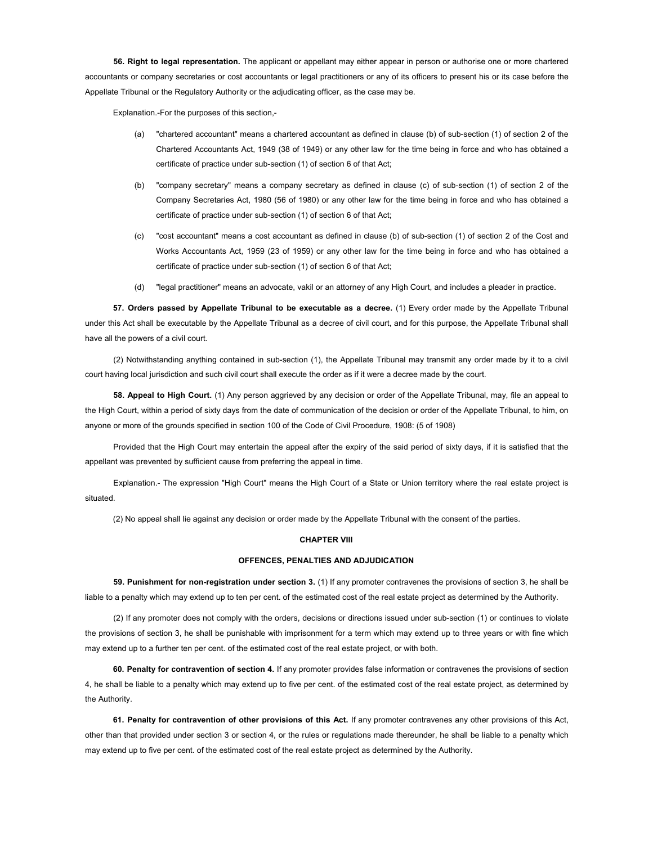**56. Right to legal representation.** The applicant or appellant may either appear in person or authorise one or more chartered accountants or company secretaries or cost accountants or legal practitioners or any of its officers to present his or its case before the Appellate Tribunal or the Regulatory Authority or the adjudicating officer, as the case may be.

Explanation.-For the purposes of this section,-

- (a) "chartered accountant" means a chartered accountant as defined in clause (b) of sub-section (1) of section 2 of the Chartered Accountants Act, 1949 (38 of 1949) or any other law for the time being in force and who has obtained a certificate of practice under sub-section (1) of section 6 of that Act;
- (b) "company secretary" means a company secretary as defined in clause (c) of sub-section (1) of section 2 of the Company Secretaries Act, 1980 (56 of 1980) or any other law for the time being in force and who has obtained a certificate of practice under sub-section (1) of section 6 of that Act;
- (c) "cost accountant" means a cost accountant as defined in clause (b) of sub-section (1) of section 2 of the Cost and Works Accountants Act, 1959 (23 of 1959) or any other law for the time being in force and who has obtained a certificate of practice under sub-section (1) of section 6 of that Act;
- (d) "legal practitioner" means an advocate, vakil or an attorney of any High Court, and includes a pleader in practice.

**57. Orders passed by Appellate Tribunal to be executable as a decree.** (1) Every order made by the Appellate Tribunal under this Act shall be executable by the Appellate Tribunal as a decree of civil court, and for this purpose, the Appellate Tribunal shall have all the powers of a civil court.

(2) Notwithstanding anything contained in sub-section (1), the Appellate Tribunal may transmit any order made by it to a civil court having local jurisdiction and such civil court shall execute the order as if it were a decree made by the court.

**58. Appeal to High Court.** (1) Any person aggrieved by any decision or order of the Appellate Tribunal, may, file an appeal to the High Court, within a period of sixty days from the date of communication of the decision or order of the Appellate Tribunal, to him, on anyone or more of the grounds specified in section 100 of the Code of Civil Procedure, 1908: (5 of 1908)

Provided that the High Court may entertain the appeal after the expiry of the said period of sixty days, if it is satisfied that the appellant was prevented by sufficient cause from preferring the appeal in time.

Explanation.- The expression "High Court" means the High Court of a State or Union territory where the real estate project is situated.

(2) No appeal shall lie against any decision or order made by the Appellate Tribunal with the consent of the parties.

## **CHAPTER VIII**

## **OFFENCES, PENALTIES AND ADJUDICATION**

**59. Punishment for non-registration under section 3.** (1) If any promoter contravenes the provisions of section 3, he shall be liable to a penalty which may extend up to ten per cent. of the estimated cost of the real estate project as determined by the Authority.

(2) If any promoter does not comply with the orders, decisions or directions issued under sub-section (1) or continues to violate the provisions of section 3, he shall be punishable with imprisonment for a term which may extend up to three years or with fine which may extend up to a further ten per cent. of the estimated cost of the real estate project, or with both.

**60. Penalty for contravention of section 4.** If any promoter provides false information or contravenes the provisions of section 4, he shall be liable to a penalty which may extend up to five per cent. of the estimated cost of the real estate project, as determined by the Authority.

**61. Penalty for contravention of other provisions of this Act.** If any promoter contravenes any other provisions of this Act, other than that provided under section 3 or section 4, or the rules or regulations made thereunder, he shall be liable to a penalty which may extend up to five per cent. of the estimated cost of the real estate project as determined by the Authority.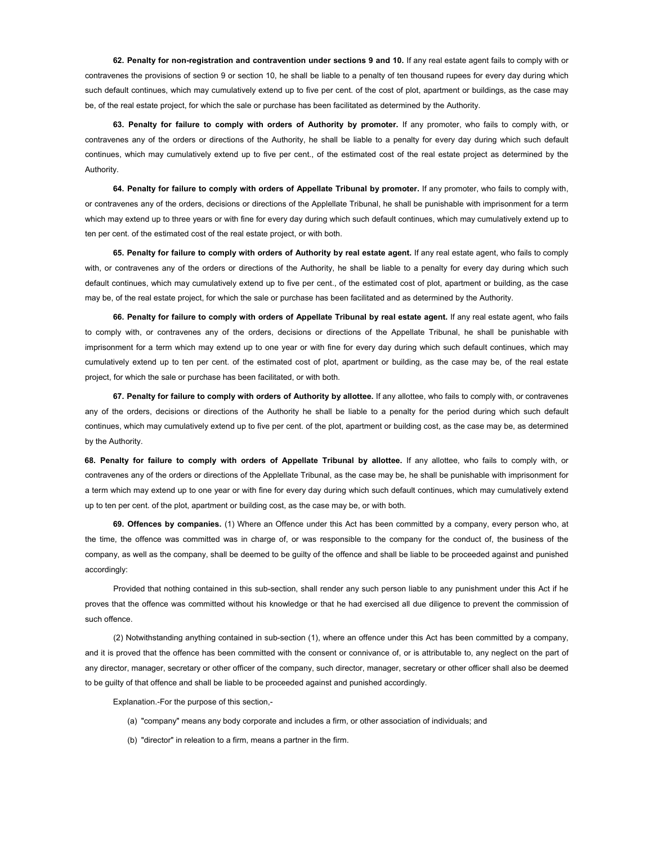**62. Penalty for non-registration and contravention under sections 9 and 10.** If any real estate agent fails to comply with or contravenes the provisions of section 9 or section 10, he shall be liable to a penalty of ten thousand rupees for every day during which such default continues, which may cumulatively extend up to five per cent. of the cost of plot, apartment or buildings, as the case may be, of the real estate project, for which the sale or purchase has been facilitated as determined by the Authority.

**63. Penalty for failure to comply with orders of Authority by promoter.** If any promoter, who fails to comply with, or contravenes any of the orders or directions of the Authority, he shall be liable to a penalty for every day during which such default continues, which may cumulatively extend up to five per cent., of the estimated cost of the real estate project as determined by the Authority.

**64. Penalty for failure to comply with orders of Appellate Tribunal by promoter.** If any promoter, who fails to comply with, or contravenes any of the orders, decisions or directions of the Applellate Tribunal, he shall be punishable with imprisonment for a term which may extend up to three years or with fine for every day during which such default continues, which may cumulatively extend up to ten per cent. of the estimated cost of the real estate project, or with both.

**65. Penalty for failure to comply with orders of Authority by real estate agent.** If any real estate agent, who fails to comply with, or contravenes any of the orders or directions of the Authority, he shall be liable to a penalty for every day during which such default continues, which may cumulatively extend up to five per cent., of the estimated cost of plot, apartment or building, as the case may be, of the real estate project, for which the sale or purchase has been facilitated and as determined by the Authority.

**66. Penalty for failure to comply with orders of Appellate Tribunal by real estate agent.** If any real estate agent, who fails to comply with, or contravenes any of the orders, decisions or directions of the Appellate Tribunal, he shall be punishable with imprisonment for a term which may extend up to one year or with fine for every day during which such default continues, which may cumulatively extend up to ten per cent. of the estimated cost of plot, apartment or building, as the case may be, of the real estate project, for which the sale or purchase has been facilitated, or with both.

**67. Penalty for failure to comply with orders of Authority by allottee.** If any allottee, who fails to comply with, or contravenes any of the orders, decisions or directions of the Authority he shall be liable to a penalty for the period during which such default continues, which may cumulatively extend up to five per cent. of the plot, apartment or building cost, as the case may be, as determined by the Authority.

**68. Penalty for failure to comply with orders of Appellate Tribunal by allottee.** If any allottee, who fails to comply with, or contravenes any of the orders or directions of the Applellate Tribunal, as the case may be, he shall be punishable with imprisonment for a term which may extend up to one year or with fine for every day during which such default continues, which may cumulatively extend up to ten per cent. of the plot, apartment or building cost, as the case may be, or with both.

**69. Offences by companies.** (1) Where an Offence under this Act has been committed by a company, every person who, at the time, the offence was committed was in charge of, or was responsible to the company for the conduct of, the business of the company, as well as the company, shall be deemed to be guilty of the offence and shall be liable to be proceeded against and punished accordingly:

Provided that nothing contained in this sub-section, shall render any such person liable to any punishment under this Act if he proves that the offence was committed without his knowledge or that he had exercised all due diligence to prevent the commission of such offence.

(2) Notwithstanding anything contained in sub-section (1), where an offence under this Act has been committed by a company, and it is proved that the offence has been committed with the consent or connivance of, or is attributable to, any neglect on the part of any director, manager, secretary or other officer of the company, such director, manager, secretary or other officer shall also be deemed to be guilty of that offence and shall be liable to be proceeded against and punished accordingly.

Explanation.-For the purpose of this section,-

- (a) "company" means any body corporate and includes a firm, or other association of individuals; and
- (b) "director" in releation to a firm, means a partner in the firm.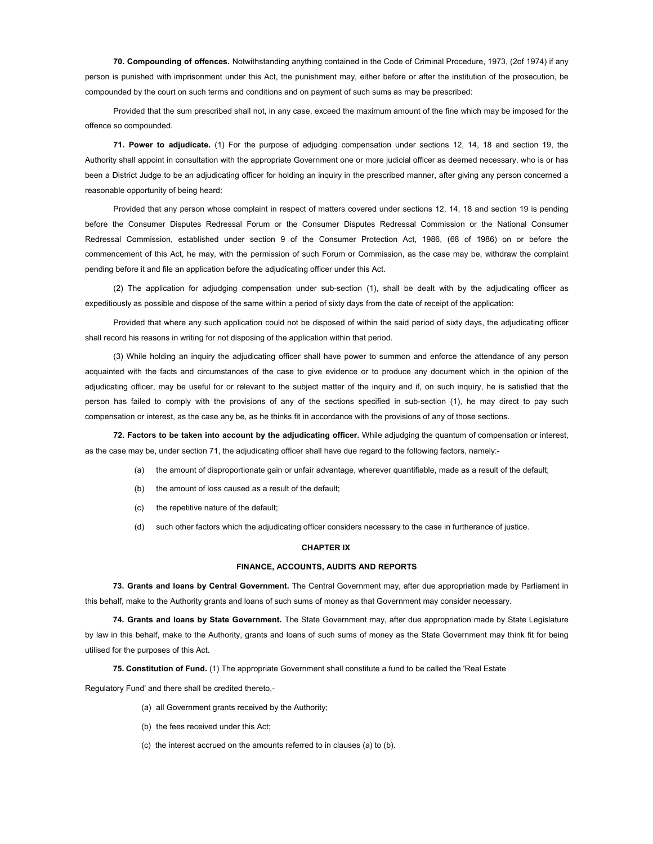**70. Compounding of offences.** Notwithstanding anything contained in the Code of Criminal Procedure, 1973, (2of 1974) if any person is punished with imprisonment under this Act, the punishment may, either before or after the institution of the prosecution, be compounded by the court on such terms and conditions and on payment of such sums as may be prescribed:

Provided that the sum prescribed shall not, in any case, exceed the maximum amount of the fine which may be imposed for the offence so compounded.

**71. Power to adjudicate.** (1) For the purpose of adjudging compensation under sections 12, 14, 18 and section 19, the Authority shall appoint in consultation with the appropriate Government one or more judicial officer as deemed necessary, who is or has been a District Judge to be an adjudicating officer for holding an inquiry in the prescribed manner, after giving any person concerned a reasonable opportunity of being heard:

Provided that any person whose complaint in respect of matters covered under sections 12, 14, 18 and section 19 is pending before the Consumer Disputes Redressal Forum or the Consumer Disputes Redressal Commission or the National Consumer Redressal Commission, established under section 9 of the Consumer Protection Act, 1986, (68 of 1986) on or before the commencement of this Act, he may, with the permission of such Forum or Commission, as the case may be, withdraw the complaint pending before it and file an application before the adjudicating officer under this Act.

(2) The application for adjudging compensation under sub-section (1), shall be dealt with by the adjudicating officer as expeditiously as possible and dispose of the same within a period of sixty days from the date of receipt of the application:

Provided that where any such application could not be disposed of within the said period of sixty days, the adjudicating officer shall record his reasons in writing for not disposing of the application within that period.

(3) While holding an inquiry the adjudicating officer shall have power to summon and enforce the attendance of any person acquainted with the facts and circumstances of the case to give evidence or to produce any document which in the opinion of the adjudicating officer, may be useful for or relevant to the subject matter of the inquiry and if, on such inquiry, he is satisfied that the person has failed to comply with the provisions of any of the sections specified in sub-section (1), he may direct to pay such compensation or interest, as the case any be, as he thinks fit in accordance with the provisions of any of those sections.

**72. Factors to be taken into account by the adjudicating officer.** While adjudging the quantum of compensation or interest, as the case may be, under section 71, the adjudicating officer shall have due regard to the following factors, namely:-

- (a) the amount of disproportionate gain or unfair advantage, wherever quantifiable, made as a result of the default;
- (b) the amount of loss caused as a result of the default;
- (c) the repetitive nature of the default;
- (d) such other factors which the adjudicating officer considers necessary to the case in furtherance of justice.

#### **CHAPTER IX**

### **FINANCE, ACCOUNTS, AUDITS AND REPORTS**

**73. Grants and loans by Central Government.** The Central Government may, after due appropriation made by Parliament in this behalf, make to the Authority grants and loans of such sums of money as that Government may consider necessary.

**74. Grants and loans by State Government.** The State Government may, after due appropriation made by State Legislature by law in this behalf, make to the Authority, grants and loans of such sums of money as the State Government may think fit for being utilised for the purposes of this Act.

**75. Constitution of Fund.** (1) The appropriate Government shall constitute a fund to be called the 'Real Estate

Regulatory Fund' and there shall be credited thereto,-

- (a) all Government grants received by the Authority;
- (b) the fees received under this Act;
- (c) the interest accrued on the amounts referred to in clauses (a) to (b).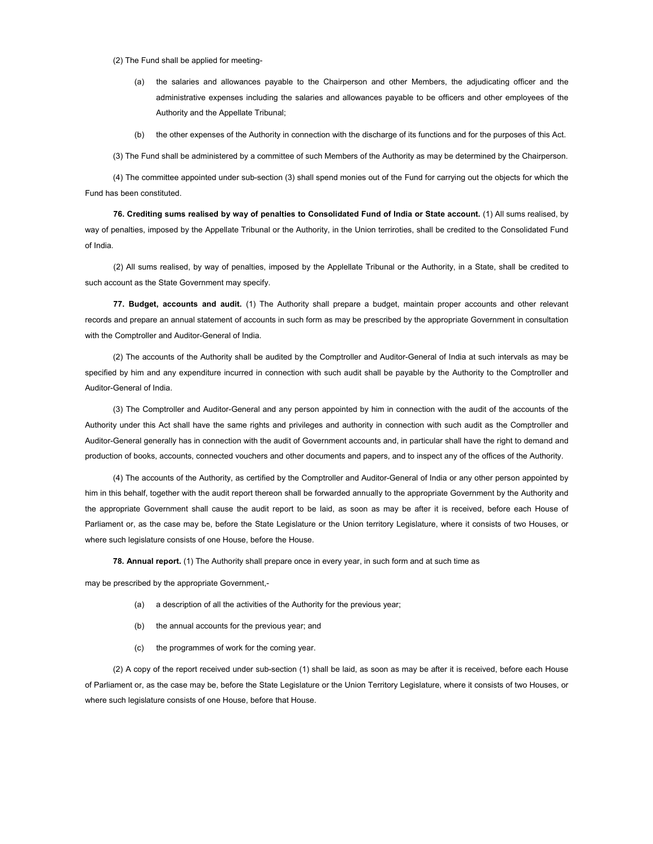(2) The Fund shall be applied for meeting-

- (a) the salaries and allowances payable to the Chairperson and other Members, the adjudicating officer and the administrative expenses including the salaries and allowances payable to be officers and other employees of the Authority and the Appellate Tribunal;
- (b) the other expenses of the Authority in connection with the discharge of its functions and for the purposes of this Act.

(3) The Fund shall be administered by a committee of such Members of the Authority as may be determined by the Chairperson.

(4) The committee appointed under sub-section (3) shall spend monies out of the Fund for carrying out the objects for which the Fund has been constituted.

**76. Crediting sums realised by way of penalties to Consolidated Fund of India or State account.** (1) All sums realised, by way of penalties, imposed by the Appellate Tribunal or the Authority, in the Union terriroties, shall be credited to the Consolidated Fund of India.

(2) All sums realised, by way of penalties, imposed by the Applellate Tribunal or the Authority, in a State, shall be credited to such account as the State Government may specify.

**77. Budget, accounts and audit.** (1) The Authority shall prepare a budget, maintain proper accounts and other relevant records and prepare an annual statement of accounts in such form as may be prescribed by the appropriate Government in consultation with the Comptroller and Auditor-General of India.

(2) The accounts of the Authority shall be audited by the Comptroller and Auditor-General of India at such intervals as may be specified by him and any expenditure incurred in connection with such audit shall be payable by the Authority to the Comptroller and Auditor-General of India.

(3) The Comptroller and Auditor-General and any person appointed by him in connection with the audit of the accounts of the Authority under this Act shall have the same rights and privileges and authority in connection with such audit as the Comptroller and Auditor-General generally has in connection with the audit of Government accounts and, in particular shall have the right to demand and production of books, accounts, connected vouchers and other documents and papers, and to inspect any of the offices of the Authority.

(4) The accounts of the Authority, as certified by the Comptroller and Auditor-General of India or any other person appointed by him in this behalf, together with the audit report thereon shall be forwarded annually to the appropriate Government by the Authority and the appropriate Government shall cause the audit report to be laid, as soon as may be after it is received, before each House of Parliament or, as the case may be, before the State Legislature or the Union territory Legislature, where it consists of two Houses, or where such legislature consists of one House, before the House.

**78. Annual report.** (1) The Authority shall prepare once in every year, in such form and at such time as

may be prescribed by the appropriate Government,-

- (a) a description of all the activities of the Authority for the previous year;
- (b) the annual accounts for the previous year; and
- (c) the programmes of work for the coming year.

(2) A copy of the report received under sub-section (1) shall be laid, as soon as may be after it is received, before each House of Parliament or, as the case may be, before the State Legislature or the Union Territory Legislature, where it consists of two Houses, or where such legislature consists of one House, before that House.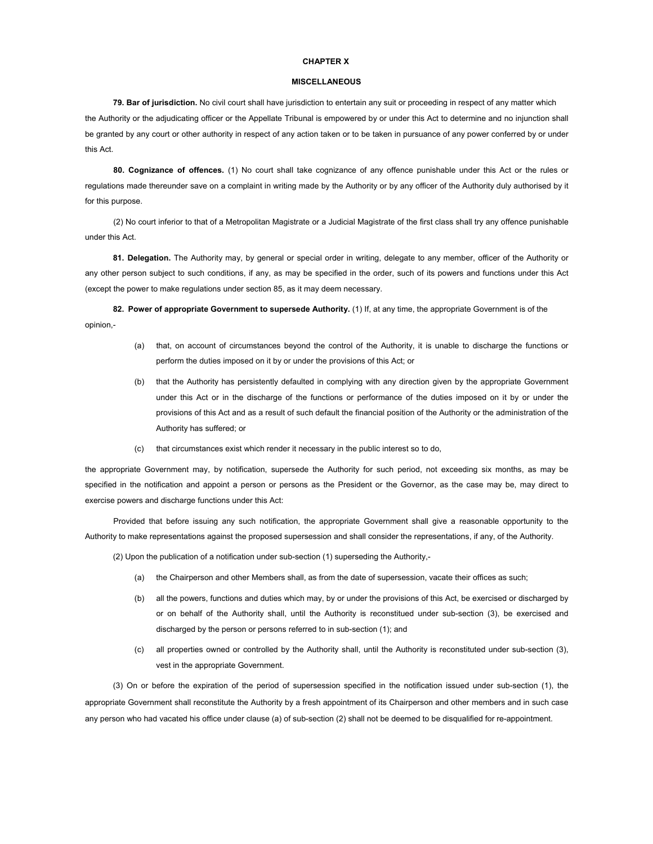## **CHAPTER X**

#### **MISCELLANEOUS**

**79. Bar of jurisdiction.** No civil court shall have jurisdiction to entertain any suit or proceeding in respect of any matter which the Authority or the adjudicating officer or the Appellate Tribunal is empowered by or under this Act to determine and no injunction shall be granted by any court or other authority in respect of any action taken or to be taken in pursuance of any power conferred by or under this Act.

**80. Cognizance of offences.** (1) No court shall take cognizance of any offence punishable under this Act or the rules or regulations made thereunder save on a complaint in writing made by the Authority or by any officer of the Authority duly authorised by it for this purpose.

(2) No court inferior to that of a Metropolitan Magistrate or a Judicial Magistrate of the first class shall try any offence punishable under this Act.

**81. Delegation.** The Authority may, by general or special order in writing, delegate to any member, officer of the Authority or any other person subject to such conditions, if any, as may be specified in the order, such of its powers and functions under this Act (except the power to make regulations under section 85, as it may deem necessary.

**82. Power of appropriate Government to supersede Authority.** (1) If, at any time, the appropriate Government is of the opinion,-

- (a) that, on account of circumstances beyond the control of the Authority, it is unable to discharge the functions or perform the duties imposed on it by or under the provisions of this Act; or
- (b) that the Authority has persistently defaulted in complying with any direction given by the appropriate Government under this Act or in the discharge of the functions or performance of the duties imposed on it by or under the provisions of this Act and as a result of such default the financial position of the Authority or the administration of the Authority has suffered; or
- (c) that circumstances exist which render it necessary in the public interest so to do,

the appropriate Government may, by notification, supersede the Authority for such period, not exceeding six months, as may be specified in the notification and appoint a person or persons as the President or the Governor, as the case may be, may direct to exercise powers and discharge functions under this Act:

Provided that before issuing any such notification, the appropriate Government shall give a reasonable opportunity to the Authority to make representations against the proposed supersession and shall consider the representations, if any, of the Authority.

(2) Upon the publication of a notification under sub-section (1) superseding the Authority,-

- (a) the Chairperson and other Members shall, as from the date of supersession, vacate their offices as such;
- (b) all the powers, functions and duties which may, by or under the provisions of this Act, be exercised or discharged by or on behalf of the Authority shall, until the Authority is reconstitued under sub-section (3), be exercised and discharged by the person or persons referred to in sub-section (1); and
- (c) all properties owned or controlled by the Authority shall, until the Authority is reconstituted under sub-section (3), vest in the appropriate Government.

(3) On or before the expiration of the period of supersession specified in the notification issued under sub-section (1), the appropriate Government shall reconstitute the Authority by a fresh appointment of its Chairperson and other members and in such case any person who had vacated his office under clause (a) of sub-section (2) shall not be deemed to be disqualified for re-appointment.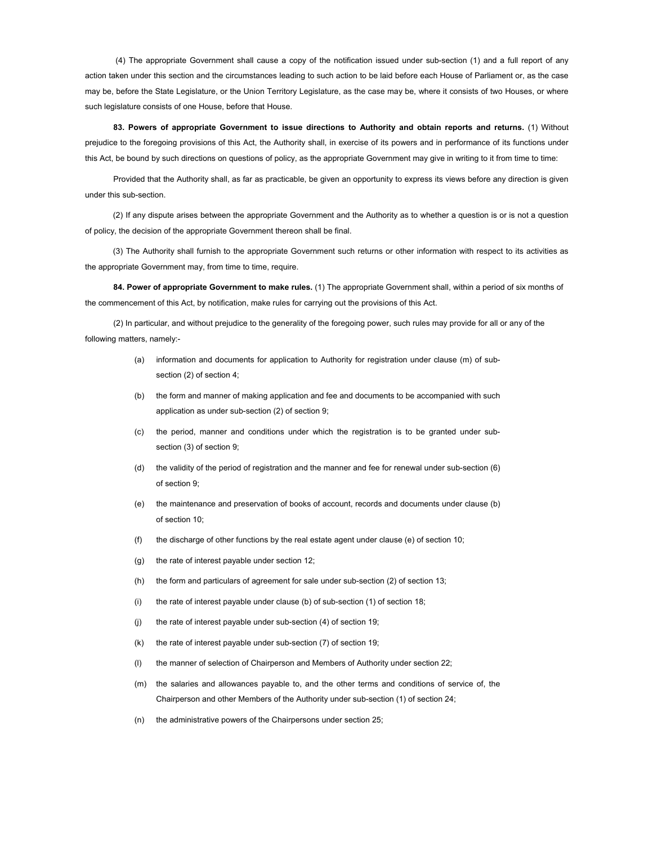(4) The appropriate Government shall cause a copy of the notification issued under sub-section (1) and a full report of any action taken under this section and the circumstances leading to such action to be laid before each House of Parliament or, as the case may be, before the State Legislature, or the Union Territory Legislature, as the case may be, where it consists of two Houses, or where such legislature consists of one House, before that House.

**83. Powers of appropriate Government to issue directions to Authority and obtain reports and returns.** (1) Without prejudice to the foregoing provisions of this Act, the Authority shall, in exercise of its powers and in performance of its functions under this Act, be bound by such directions on questions of policy, as the appropriate Government may give in writing to it from time to time:

Provided that the Authority shall, as far as practicable, be given an opportunity to express its views before any direction is given under this sub-section.

(2) If any dispute arises between the appropriate Government and the Authority as to whether a question is or is not a question of policy, the decision of the appropriate Government thereon shall be final.

(3) The Authority shall furnish to the appropriate Government such returns or other information with respect to its activities as the appropriate Government may, from time to time, require.

**84. Power of appropriate Government to make rules.** (1) The appropriate Government shall, within a period of six months of the commencement of this Act, by notification, make rules for carrying out the provisions of this Act.

(2) In particular, and without prejudice to the generality of the foregoing power, such rules may provide for all or any of the following matters, namely:-

- (a) information and documents for application to Authority for registration under clause (m) of subsection (2) of section 4;
- (b) the form and manner of making application and fee and documents to be accompanied with such application as under sub-section (2) of section 9;
- (c) the period, manner and conditions under which the registration is to be granted under subsection (3) of section 9;
- (d) the validity of the period of registration and the manner and fee for renewal under sub-section (6) of section 9;
- (e) the maintenance and preservation of books of account, records and documents under clause (b) of section 10;
- (f) the discharge of other functions by the real estate agent under clause (e) of section 10;
- (g) the rate of interest payable under section 12;
- (h) the form and particulars of agreement for sale under sub-section (2) of section 13;
- (i) the rate of interest payable under clause (b) of sub-section (1) of section 18;
- (j) the rate of interest payable under sub-section (4) of section 19;
- (k) the rate of interest payable under sub-section (7) of section 19;
- (l) the manner of selection of Chairperson and Members of Authority under section 22;
- (m) the salaries and allowances payable to, and the other terms and conditions of service of, the Chairperson and other Members of the Authority under sub-section (1) of section 24;
- (n) the administrative powers of the Chairpersons under section 25;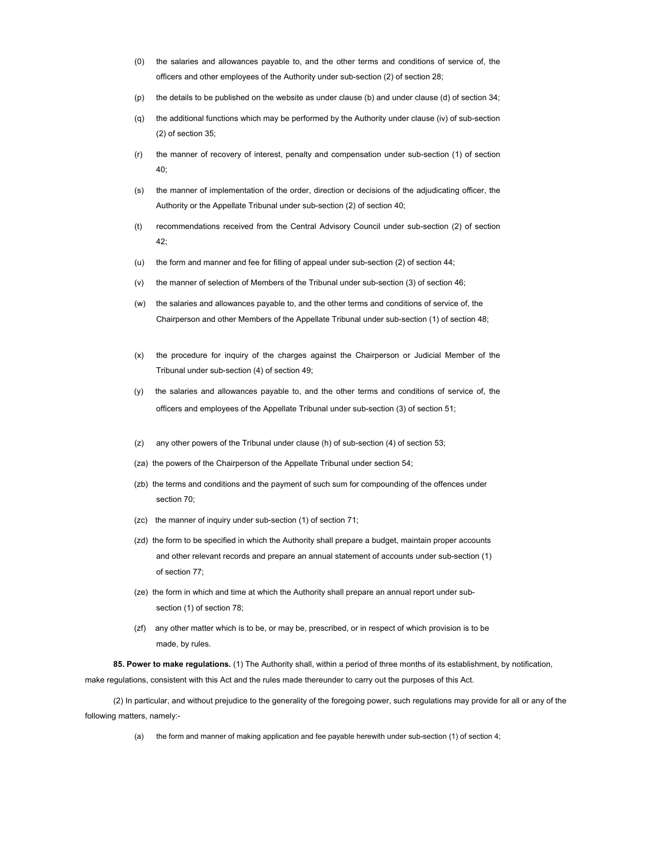- (0) the salaries and allowances payable to, and the other terms and conditions of service of, the officers and other employees of the Authority under sub-section (2) of section 28;
- (p) the details to be published on the website as under clause (b) and under clause (d) of section 34;
- (q) the additional functions which may be performed by the Authority under clause (iv) of sub-section (2) of section 35;
- (r) the manner of recovery of interest, penalty and compensation under sub-section (1) of section  $40<sup>°</sup>$
- (s) the manner of implementation of the order, direction or decisions of the adjudicating officer, the Authority or the Appellate Tribunal under sub-section (2) of section 40;
- (t) recommendations received from the Central Advisory Council under sub-section (2) of section 42;
- (u) the form and manner and fee for filling of appeal under sub-section (2) of section 44;
- (v) the manner of selection of Members of the Tribunal under sub-section (3) of section 46;
- (w) the salaries and allowances payable to, and the other terms and conditions of service of, the Chairperson and other Members of the Appellate Tribunal under sub-section (1) of section 48;
- (x) the procedure for inquiry of the charges against the Chairperson or Judicial Member of the Tribunal under sub-section (4) of section 49;
- (y) the salaries and allowances payable to, and the other terms and conditions of service of, the officers and employees of the Appellate Tribunal under sub-section (3) of section 51;
- (z) any other powers of the Tribunal under clause (h) of sub-section (4) of section 53;
- (za) the powers of the Chairperson of the Appellate Tribunal under section 54;
- (zb) the terms and conditions and the payment of such sum for compounding of the offences under section 70;
- (zc) the manner of inquiry under sub-section (1) of section 71;
- (zd) the form to be specified in which the Authority shall prepare a budget, maintain proper accounts and other relevant records and prepare an annual statement of accounts under sub-section (1) of section 77;
- (ze) the form in which and time at which the Authority shall prepare an annual report under subsection (1) of section 78;
- (zf) any other matter which is to be, or may be, prescribed, or in respect of which provision is to be made, by rules.

**85. Power to make regulations.** (1) The Authority shall, within a period of three months of its establishment, by notification, make regulations, consistent with this Act and the rules made thereunder to carry out the purposes of this Act.

(2) In particular, and without prejudice to the generality of the foregoing power, such regulations may provide for all or any of the following matters, namely:-

(a) the form and manner of making application and fee payable herewith under sub-section (1) of section 4;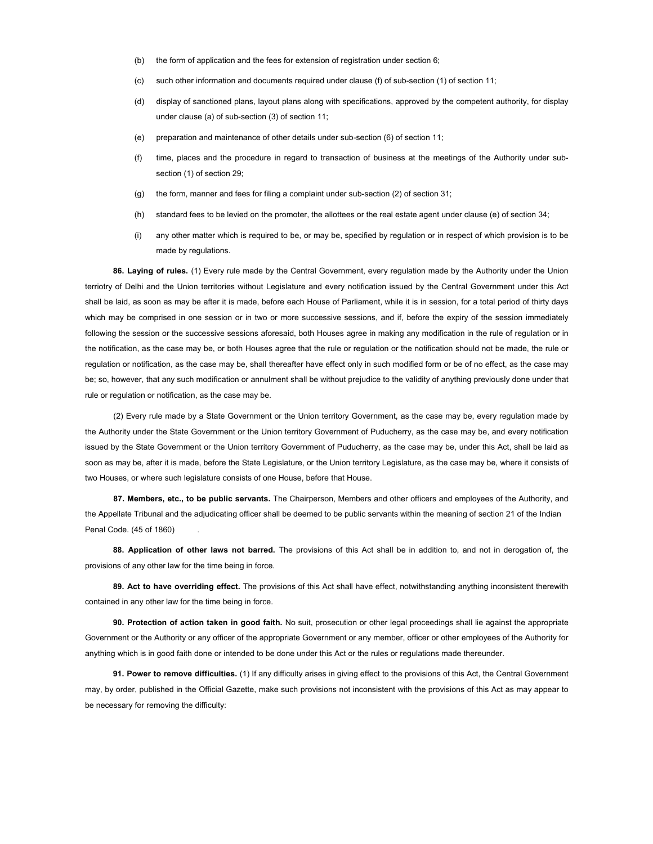- (b) the form of application and the fees for extension of registration under section 6;
- (c) such other information and documents required under clause (f) of sub-section (1) of section 11;
- (d) display of sanctioned plans, layout plans along with specifications, approved by the competent authority, for display under clause (a) of sub-section (3) of section 11;
- (e) preparation and maintenance of other details under sub-section (6) of section 11;
- (f) time, places and the procedure in regard to transaction of business at the meetings of the Authority under subsection (1) of section 29;
- (g) the form, manner and fees for filing a complaint under sub-section (2) of section 31;
- (h) standard fees to be levied on the promoter, the allottees or the real estate agent under clause (e) of section 34;
- (i) any other matter which is required to be, or may be, specified by regulation or in respect of which provision is to be made by regulations.

**86. Laying of rules.** (1) Every rule made by the Central Government, every regulation made by the Authority under the Union terriotry of Delhi and the Union territories without Legislature and every notification issued by the Central Government under this Act shall be laid, as soon as may be after it is made, before each House of Parliament, while it is in session, for a total period of thirty days which may be comprised in one session or in two or more successive sessions, and if, before the expiry of the session immediately following the session or the successive sessions aforesaid, both Houses agree in making any modification in the rule of regulation or in the notification, as the case may be, or both Houses agree that the rule or regulation or the notification should not be made, the rule or regulation or notification, as the case may be, shall thereafter have effect only in such modified form or be of no effect, as the case may be; so, however, that any such modification or annulment shall be without prejudice to the validity of anything previously done under that rule or regulation or notification, as the case may be.

(2) Every rule made by a State Government or the Union territory Government, as the case may be, every regulation made by the Authority under the State Government or the Union territory Government of Puducherry, as the case may be, and every notification issued by the State Government or the Union territory Government of Puducherry, as the case may be, under this Act, shall be laid as soon as may be, after it is made, before the State Legislature, or the Union territory Legislature, as the case may be, where it consists of two Houses, or where such legislature consists of one House, before that House.

**87. Members, etc., to be public servants.** The Chairperson, Members and other officers and employees of the Authority, and the Appellate Tribunal and the adjudicating officer shall be deemed to be public servants within the meaning of section 21 of the Indian Penal Code. (45 of 1860)

**88. Application of other laws not barred.** The provisions of this Act shall be in addition to, and not in derogation of, the provisions of any other law for the time being in force.

**89. Act to have overriding effect.** The provisions of this Act shall have effect, notwithstanding anything inconsistent therewith contained in any other law for the time being in force.

**90. Protection of action taken in good faith.** No suit, prosecution or other legal proceedings shall lie against the appropriate Government or the Authority or any officer of the appropriate Government or any member, officer or other employees of the Authority for anything which is in good faith done or intended to be done under this Act or the rules or regulations made thereunder.

**91. Power to remove difficulties.** (1) If any difficulty arises in giving effect to the provisions of this Act, the Central Government may, by order, published in the Official Gazette, make such provisions not inconsistent with the provisions of this Act as may appear to be necessary for removing the difficulty: